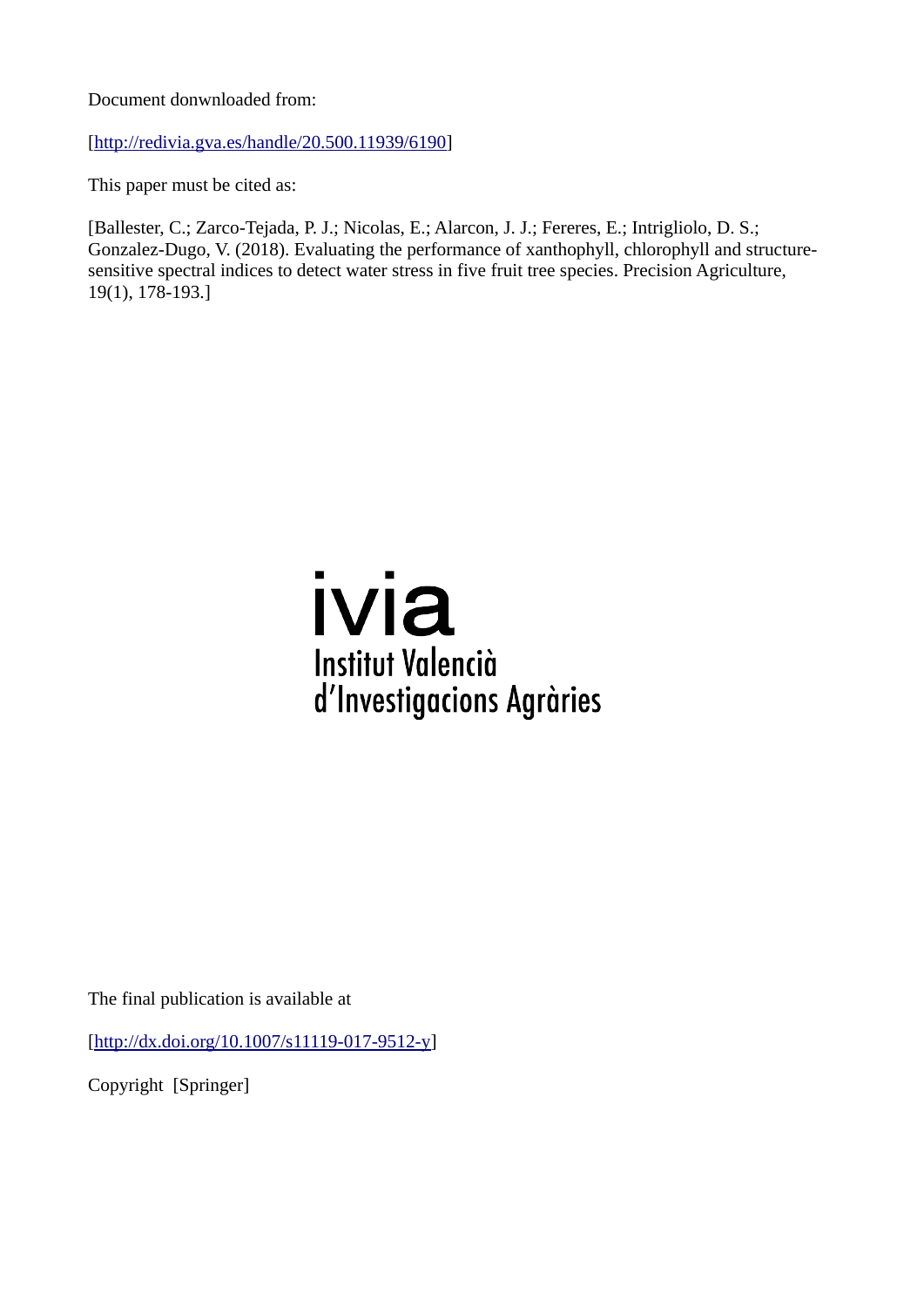Document donwnloaded from:

[\[http://redivia.gva.es/handle/20.500.11939/6190\]](http://redivia.gva.es/handle/20.500.11939/6190)

This paper must be cited as:

[Ballester, C.; Zarco-Tejada, P. J.; Nicolas, E.; Alarcon, J. J.; Fereres, E.; Intrigliolo, D. S.; Gonzalez-Dugo, V. (2018). Evaluating the performance of xanthophyll, chlorophyll and structuresensitive spectral indices to detect water stress in five fruit tree species. Precision Agriculture, 19(1), 178-193.]

# ivia **Institut Valencià** d'Investigacions Agràries

The final publication is available at

[\[http://dx.doi.org/10.1007/s11119-017-9512-y\]](http://dx.doi.org/10.1007/s11119-017-9512-y)

Copyright [Springer]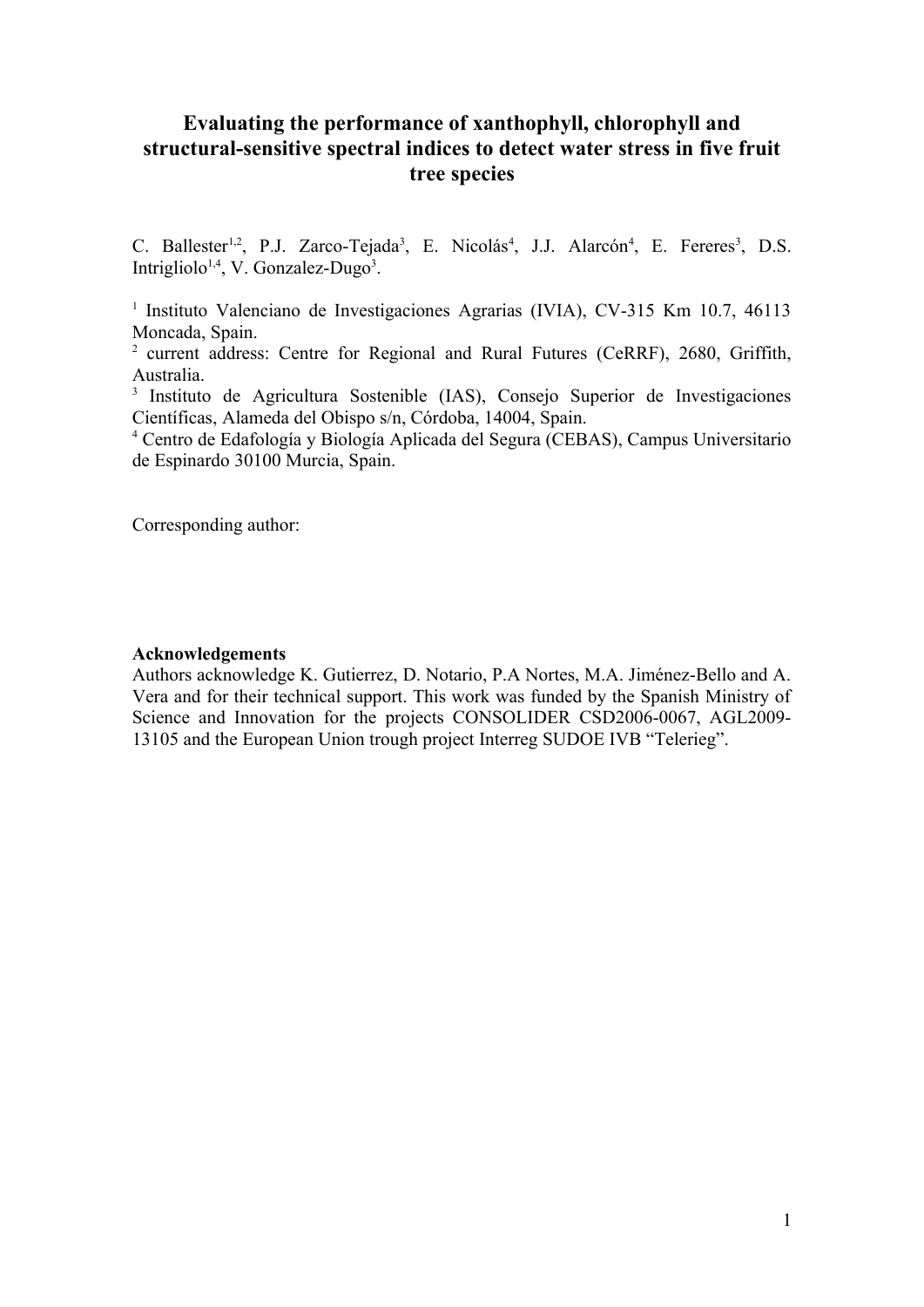## **Evaluating the performance of xanthophyll, chlorophyll and structural-sensitive spectral indices to detect water stress in five fruit tree species**

C. Ballester<sup>1,2</sup>, P.J. Zarco-Tejada<sup>3</sup>, E. Nicolás<sup>4</sup>, J.J. Alarcón<sup>4</sup>, E. Fereres<sup>3</sup>, D.S. Intrigliolo<sup>1,4</sup>, V. Gonzalez-Dugo<sup>3</sup>.

<sup>1</sup> Instituto Valenciano de Investigaciones Agrarias (IVIA), CV-315 Km 10.7, 46113 Moncada, Spain.

<sup>2</sup> current address: Centre for Regional and Rural Futures (CeRRF), 2680, Griffith, Australia.

3 Instituto de Agricultura Sostenible (IAS), Consejo Superior de Investigaciones Científicas, Alameda del Obispo s/n, Córdoba, 14004, Spain.

4 Centro de Edafología y Biología Aplicada del Segura (CEBAS), Campus Universitario de Espinardo 30100 Murcia, Spain.

Corresponding author:

## **Acknowledgements**

Authors acknowledge K. Gutierrez, D. Notario, P.A Nortes, M.A. Jiménez-Bello and A. Vera and for their technical support. This work was funded by the Spanish Ministry of Science and Innovation for the projects CONSOLIDER CSD2006-0067, AGL2009- 13105 and the European Union trough project Interreg SUDOE IVB "Telerieg".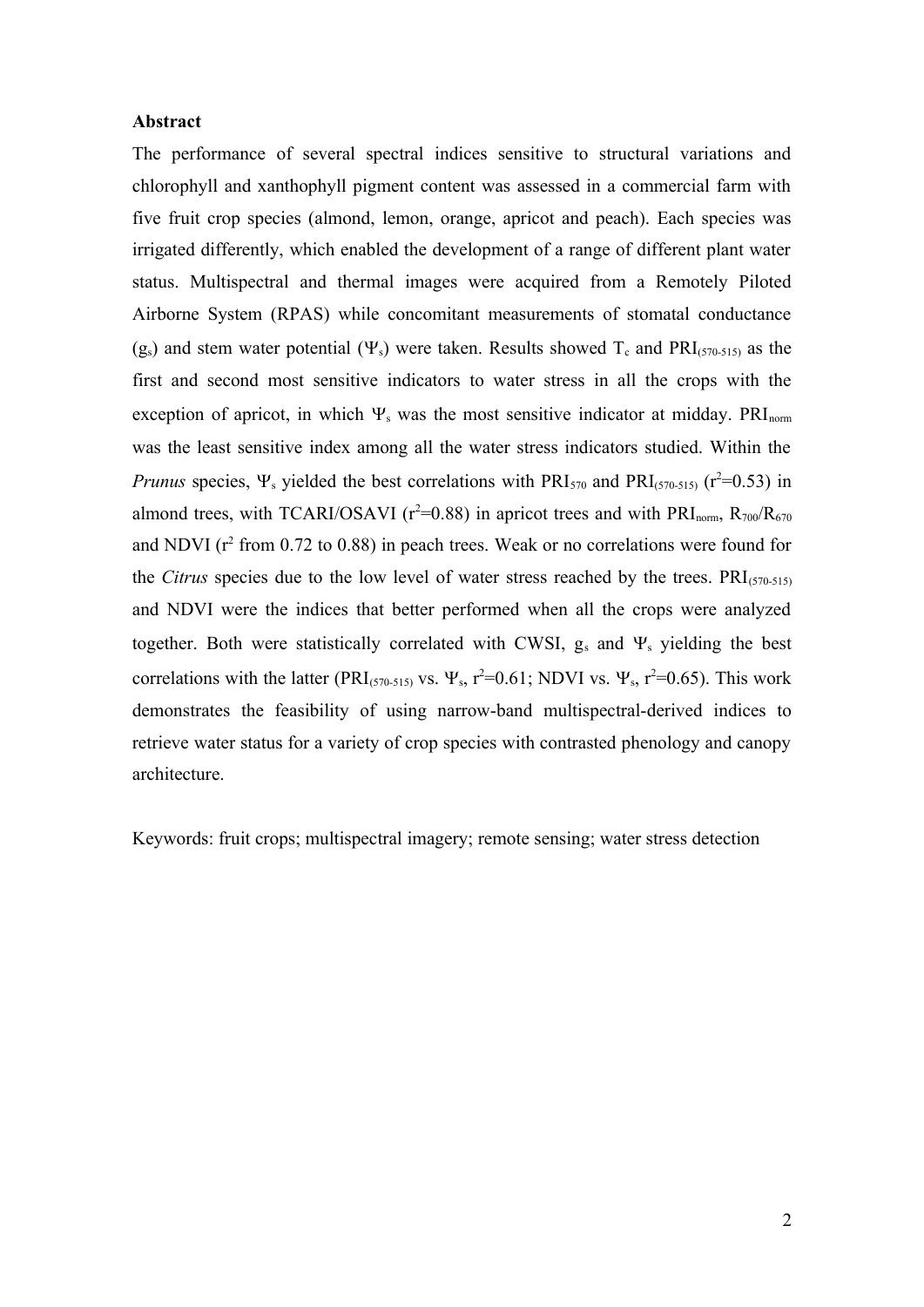### **Abstract**

The performance of several spectral indices sensitive to structural variations and chlorophyll and xanthophyll pigment content was assessed in a commercial farm with five fruit crop species (almond, lemon, orange, apricot and peach). Each species was irrigated differently, which enabled the development of a range of different plant water status. Multispectral and thermal images were acquired from a Remotely Piloted Airborne System (RPAS) while concomitant measurements of stomatal conductance  $(g<sub>s</sub>)$  and stem water potential  $(\Psi_s)$  were taken. Results showed T<sub>c</sub> and PRI<sub>(570-515)</sub> as the first and second most sensitive indicators to water stress in all the crops with the exception of apricot, in which  $\Psi_s$  was the most sensitive indicator at midday. PRI<sub>norm</sub> was the least sensitive index among all the water stress indicators studied. Within the *Prunus* species,  $\Psi_s$  yielded the best correlations with PRI<sub>570</sub> and PRI<sub>(570-515)</sub> ( $r^2$ =0.53) in almond trees, with TCARI/OSAVI ( $r^2$ =0.88) in apricot trees and with PRI<sub>norm</sub>,  $R_{700}/R_{670}$ and NDVI ( $r^2$  from 0.72 to 0.88) in peach trees. Weak or no correlations were found for the *Citrus* species due to the low level of water stress reached by the trees.  $PRI_{(570-515)}$ and NDVI were the indices that better performed when all the crops were analyzed together. Both were statistically correlated with CWSI,  $g_s$  and  $\Psi_s$  yielding the best correlations with the latter (PRI<sub>(570-515)</sub> vs.  $\Psi_s$ , r<sup>2</sup>=0.61; NDVI vs.  $\Psi_s$ , r<sup>2</sup>=0.65). This work demonstrates the feasibility of using narrow-band multispectral-derived indices to retrieve water status for a variety of crop species with contrasted phenology and canopy architecture.

Keywords: fruit crops; multispectral imagery; remote sensing; water stress detection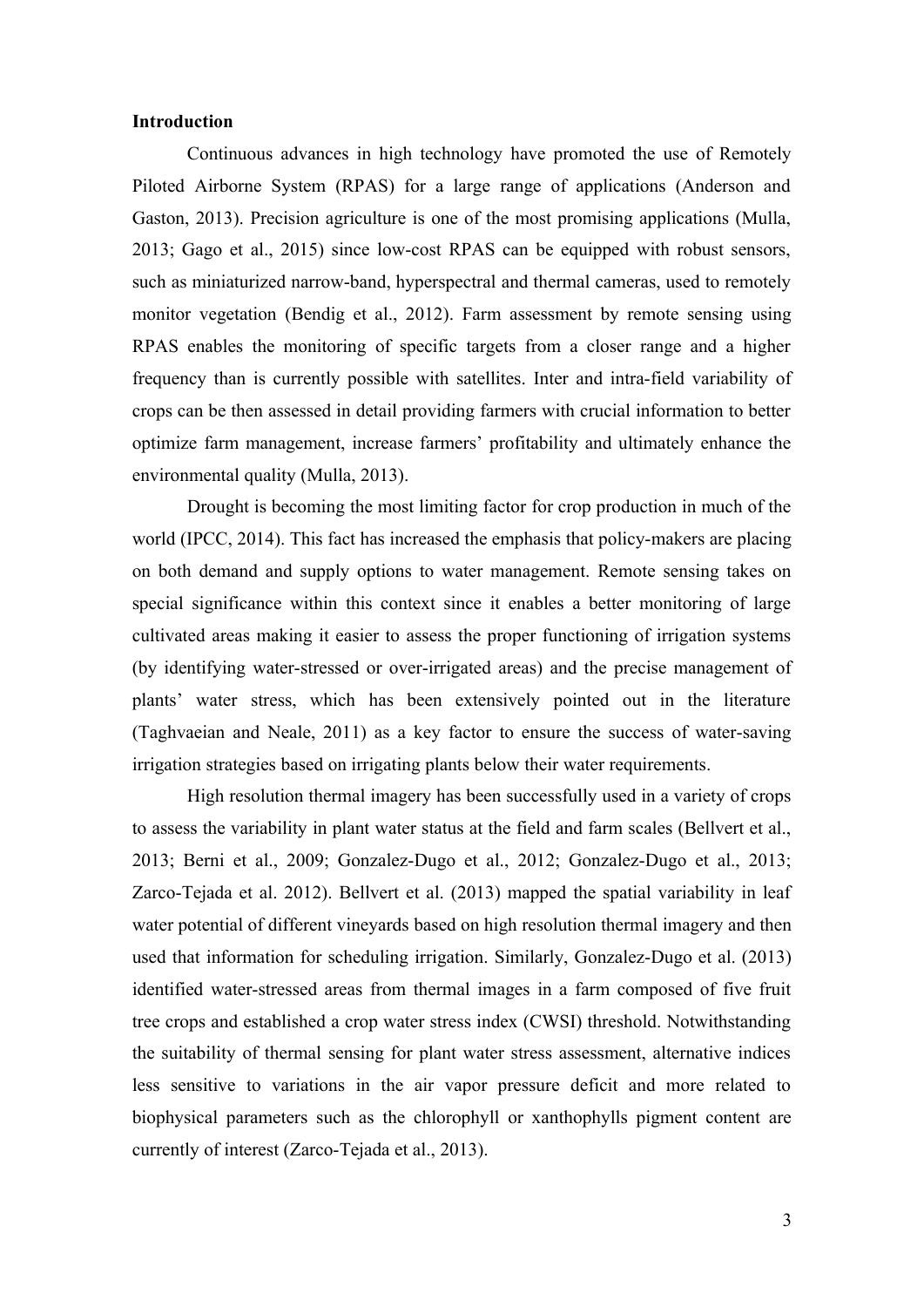### **Introduction**

Continuous advances in high technology have promoted the use of Remotely Piloted Airborne System (RPAS) for a large range of applications (Anderson and Gaston, 2013). Precision agriculture is one of the most promising applications (Mulla, 2013; Gago et al., 2015) since low-cost RPAS can be equipped with robust sensors, such as miniaturized narrow-band, hyperspectral and thermal cameras, used to remotely monitor vegetation (Bendig et al., 2012). Farm assessment by remote sensing using RPAS enables the monitoring of specific targets from a closer range and a higher frequency than is currently possible with satellites. Inter and intra-field variability of crops can be then assessed in detail providing farmers with crucial information to better optimize farm management, increase farmers' profitability and ultimately enhance the environmental quality (Mulla, 2013).

Drought is becoming the most limiting factor for crop production in much of the world (IPCC, 2014). This fact has increased the emphasis that policy-makers are placing on both demand and supply options to water management. Remote sensing takes on special significance within this context since it enables a better monitoring of large cultivated areas making it easier to assess the proper functioning of irrigation systems (by identifying water-stressed or over-irrigated areas) and the precise management of plants' water stress, which has been extensively pointed out in the literature (Taghvaeian and Neale, 2011) as a key factor to ensure the success of water-saving irrigation strategies based on irrigating plants below their water requirements.

High resolution thermal imagery has been successfully used in a variety of crops to assess the variability in plant water status at the field and farm scales (Bellvert et al., 2013; Berni et al., 2009; Gonzalez-Dugo et al., 2012; Gonzalez-Dugo et al., 2013; Zarco-Tejada et al. 2012). Bellvert et al. (2013) mapped the spatial variability in leaf water potential of different vineyards based on high resolution thermal imagery and then used that information for scheduling irrigation. Similarly, Gonzalez-Dugo et al. (2013) identified water-stressed areas from thermal images in a farm composed of five fruit tree crops and established a crop water stress index (CWSI) threshold. Notwithstanding the suitability of thermal sensing for plant water stress assessment, alternative indices less sensitive to variations in the air vapor pressure deficit and more related to biophysical parameters such as the chlorophyll or xanthophylls pigment content are currently of interest (Zarco-Tejada et al., 2013).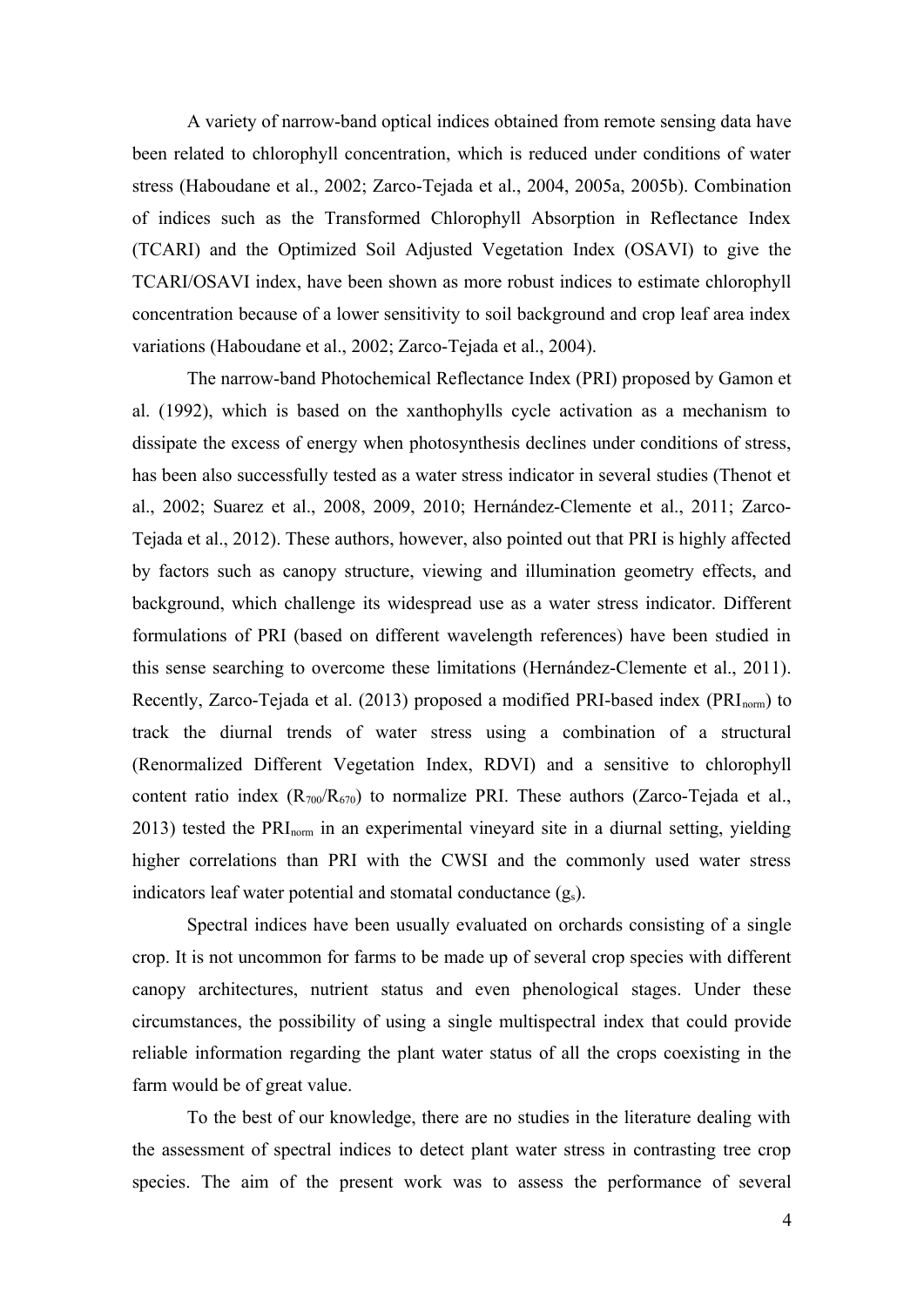A variety of narrow-band optical indices obtained from remote sensing data have been related to chlorophyll concentration, which is reduced under conditions of water stress (Haboudane et al., 2002; Zarco-Tejada et al., 2004, 2005a, 2005b). Combination of indices such as the Transformed Chlorophyll Absorption in Reflectance Index (TCARI) and the Optimized Soil Adjusted Vegetation Index (OSAVI) to give the TCARI/OSAVI index, have been shown as more robust indices to estimate chlorophyll concentration because of a lower sensitivity to soil background and crop leaf area index variations (Haboudane et al., 2002; Zarco-Tejada et al., 2004).

The narrow-band Photochemical Reflectance Index (PRI) proposed by Gamon et al. (1992), which is based on the xanthophylls cycle activation as a mechanism to dissipate the excess of energy when photosynthesis declines under conditions of stress, has been also successfully tested as a water stress indicator in several studies (Thenot et al., 2002; Suarez et al., 2008, 2009, 2010; Hernández-Clemente et al., 2011; Zarco-Tejada et al., 2012). These authors, however, also pointed out that PRI is highly affected by factors such as canopy structure, viewing and illumination geometry effects, and background, which challenge its widespread use as a water stress indicator. Different formulations of PRI (based on different wavelength references) have been studied in this sense searching to overcome these limitations (Hernández-Clemente et al., 2011). Recently, Zarco-Tejada et al. (2013) proposed a modified PRI-based index ( $\text{PRI}_{\text{norm}}$ ) to track the diurnal trends of water stress using a combination of a structural (Renormalized Different Vegetation Index, RDVI) and a sensitive to chlorophyll content ratio index  $(R_{700}/R_{670})$  to normalize PRI. These authors (Zarco-Tejada et al., 2013) tested the PRInorm in an experimental vineyard site in a diurnal setting, yielding higher correlations than PRI with the CWSI and the commonly used water stress indicators leaf water potential and stomatal conductance  $(g_s)$ .

Spectral indices have been usually evaluated on orchards consisting of a single crop. It is not uncommon for farms to be made up of several crop species with different canopy architectures, nutrient status and even phenological stages. Under these circumstances, the possibility of using a single multispectral index that could provide reliable information regarding the plant water status of all the crops coexisting in the farm would be of great value.

To the best of our knowledge, there are no studies in the literature dealing with the assessment of spectral indices to detect plant water stress in contrasting tree crop species. The aim of the present work was to assess the performance of several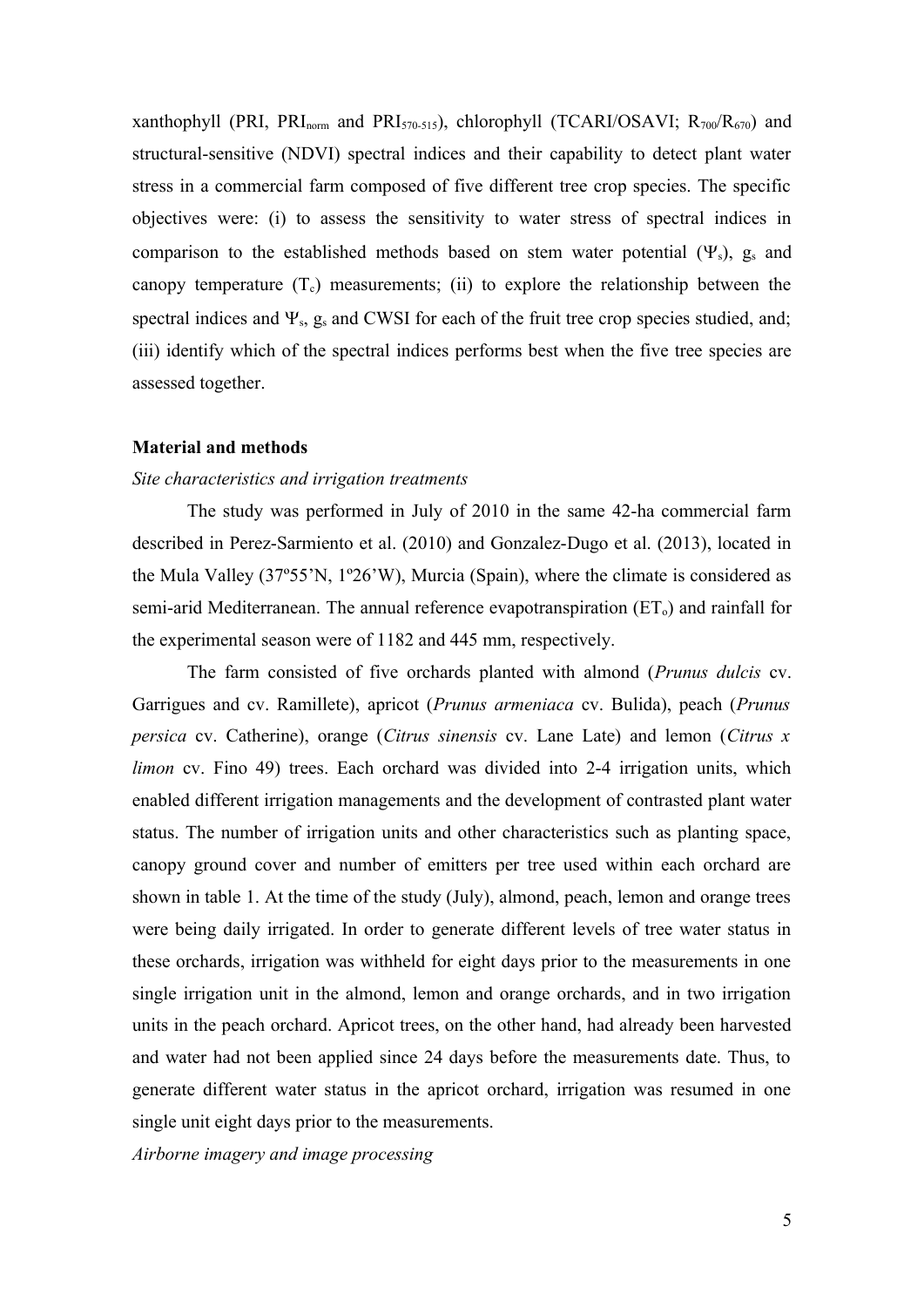xanthophyll (PRI, PRI<sub>norm</sub> and PRI<sub>570-515</sub>), chlorophyll (TCARI/OSAVI;  $R_{700}/R_{670}$ ) and structural-sensitive (NDVI) spectral indices and their capability to detect plant water stress in a commercial farm composed of five different tree crop species. The specific objectives were: (i) to assess the sensitivity to water stress of spectral indices in comparison to the established methods based on stem water potential  $(\Psi_s)$ ,  $g_s$  and canopy temperature  $(T_c)$  measurements; (ii) to explore the relationship between the spectral indices and  $\Psi_s$ ,  $g_s$  and CWSI for each of the fruit tree crop species studied, and; (iii) identify which of the spectral indices performs best when the five tree species are assessed together.

#### **Material and methods**

## *Site characteristics and irrigation treatments*

The study was performed in July of 2010 in the same 42-ha commercial farm described in Perez-Sarmiento et al. (2010) and Gonzalez-Dugo et al. (2013), located in the Mula Valley (37º55'N, 1º26'W), Murcia (Spain), where the climate is considered as semi-arid Mediterranean. The annual reference evapotranspiration  $(ET_0)$  and rainfall for the experimental season were of 1182 and 445 mm, respectively.

The farm consisted of five orchards planted with almond (*Prunus dulcis* cv. Garrigues and cv. Ramillete), apricot (*Prunus armeniaca* cv. Bulida), peach (*Prunus persica* cv. Catherine), orange (*Citrus sinensis* cv. Lane Late) and lemon (*Citrus x limon* cv. Fino 49) trees. Each orchard was divided into 2-4 irrigation units, which enabled different irrigation managements and the development of contrasted plant water status. The number of irrigation units and other characteristics such as planting space, canopy ground cover and number of emitters per tree used within each orchard are shown in table 1. At the time of the study (July), almond, peach, lemon and orange trees were being daily irrigated. In order to generate different levels of tree water status in these orchards, irrigation was withheld for eight days prior to the measurements in one single irrigation unit in the almond, lemon and orange orchards, and in two irrigation units in the peach orchard. Apricot trees, on the other hand, had already been harvested and water had not been applied since 24 days before the measurements date. Thus, to generate different water status in the apricot orchard, irrigation was resumed in one single unit eight days prior to the measurements.

*Airborne imagery and image processing*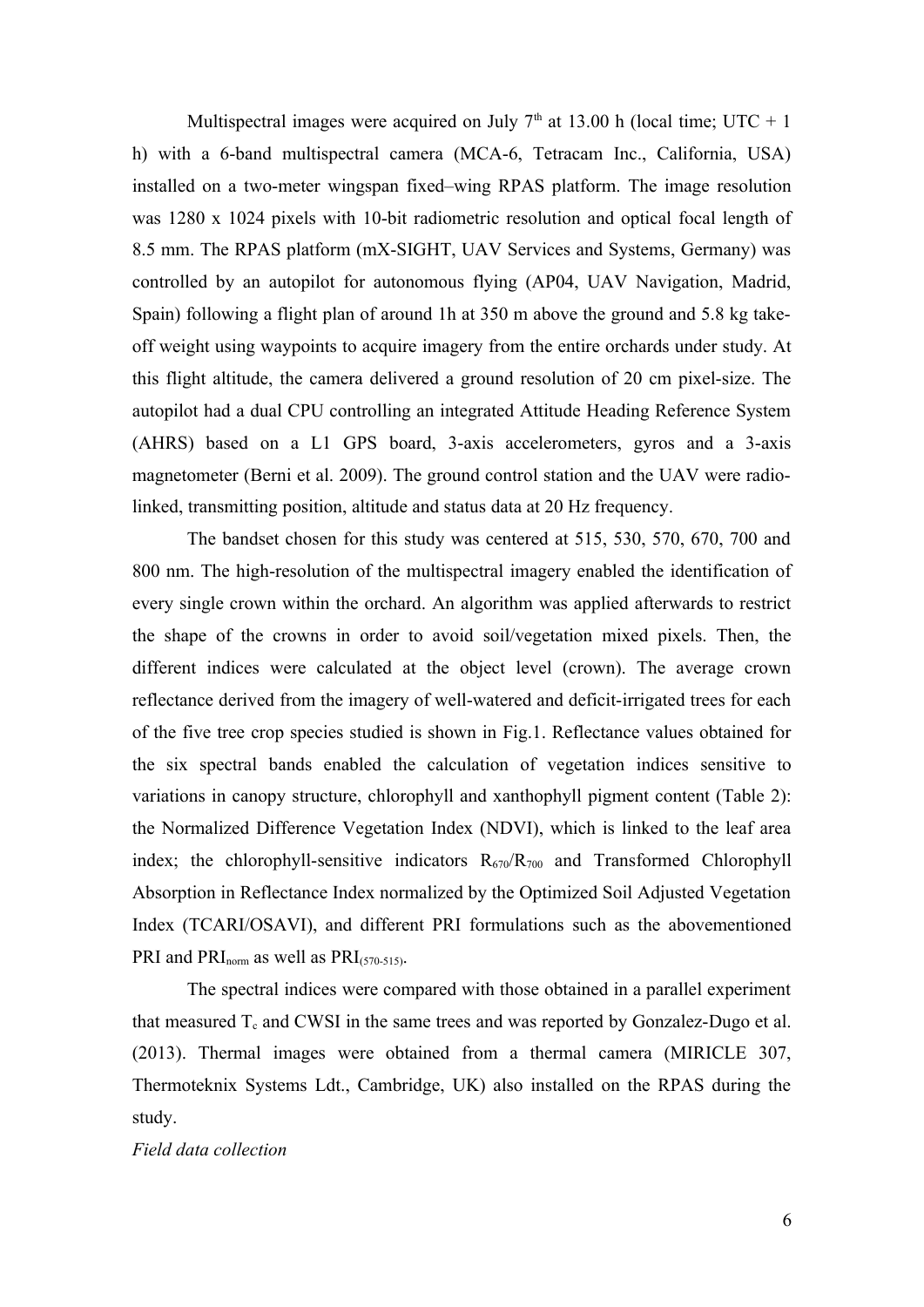Multispectral images were acquired on July  $7<sup>th</sup>$  at 13.00 h (local time; UTC + 1) h) with a 6-band multispectral camera (MCA-6, Tetracam Inc., California, USA) installed on a two-meter wingspan fixed–wing RPAS platform. The image resolution was 1280 x 1024 pixels with 10-bit radiometric resolution and optical focal length of 8.5 mm. The RPAS platform (mX-SIGHT, UAV Services and Systems, Germany) was controlled by an autopilot for autonomous flying (AP04, UAV Navigation, Madrid, Spain) following a flight plan of around 1h at 350 m above the ground and 5.8 kg takeoff weight using waypoints to acquire imagery from the entire orchards under study. At this flight altitude, the camera delivered a ground resolution of 20 cm pixel-size. The autopilot had a dual CPU controlling an integrated Attitude Heading Reference System (AHRS) based on a L1 GPS board, 3-axis accelerometers, gyros and a 3-axis magnetometer (Berni et al. 2009). The ground control station and the UAV were radiolinked, transmitting position, altitude and status data at 20 Hz frequency.

The bandset chosen for this study was centered at 515, 530, 570, 670, 700 and 800 nm. The high-resolution of the multispectral imagery enabled the identification of every single crown within the orchard. An algorithm was applied afterwards to restrict the shape of the crowns in order to avoid soil/vegetation mixed pixels. Then, the different indices were calculated at the object level (crown). The average crown reflectance derived from the imagery of well-watered and deficit-irrigated trees for each of the five tree crop species studied is shown in Fig.1. Reflectance values obtained for the six spectral bands enabled the calculation of vegetation indices sensitive to variations in canopy structure, chlorophyll and xanthophyll pigment content (Table 2): the Normalized Difference Vegetation Index (NDVI), which is linked to the leaf area index; the chlorophyll-sensitive indicators  $R_{670}/R_{700}$  and Transformed Chlorophyll Absorption in Reflectance Index normalized by the Optimized Soil Adjusted Vegetation Index (TCARI/OSAVI), and different PRI formulations such as the abovementioned PRI and  $PRI_{norm}$  as well as  $PRI_{(570-515)}$ .

The spectral indices were compared with those obtained in a parallel experiment that measured  $T_c$  and CWSI in the same trees and was reported by Gonzalez-Dugo et al. (2013). Thermal images were obtained from a thermal camera (MIRICLE 307, Thermoteknix Systems Ldt., Cambridge, UK) also installed on the RPAS during the study.

#### *Field data collection*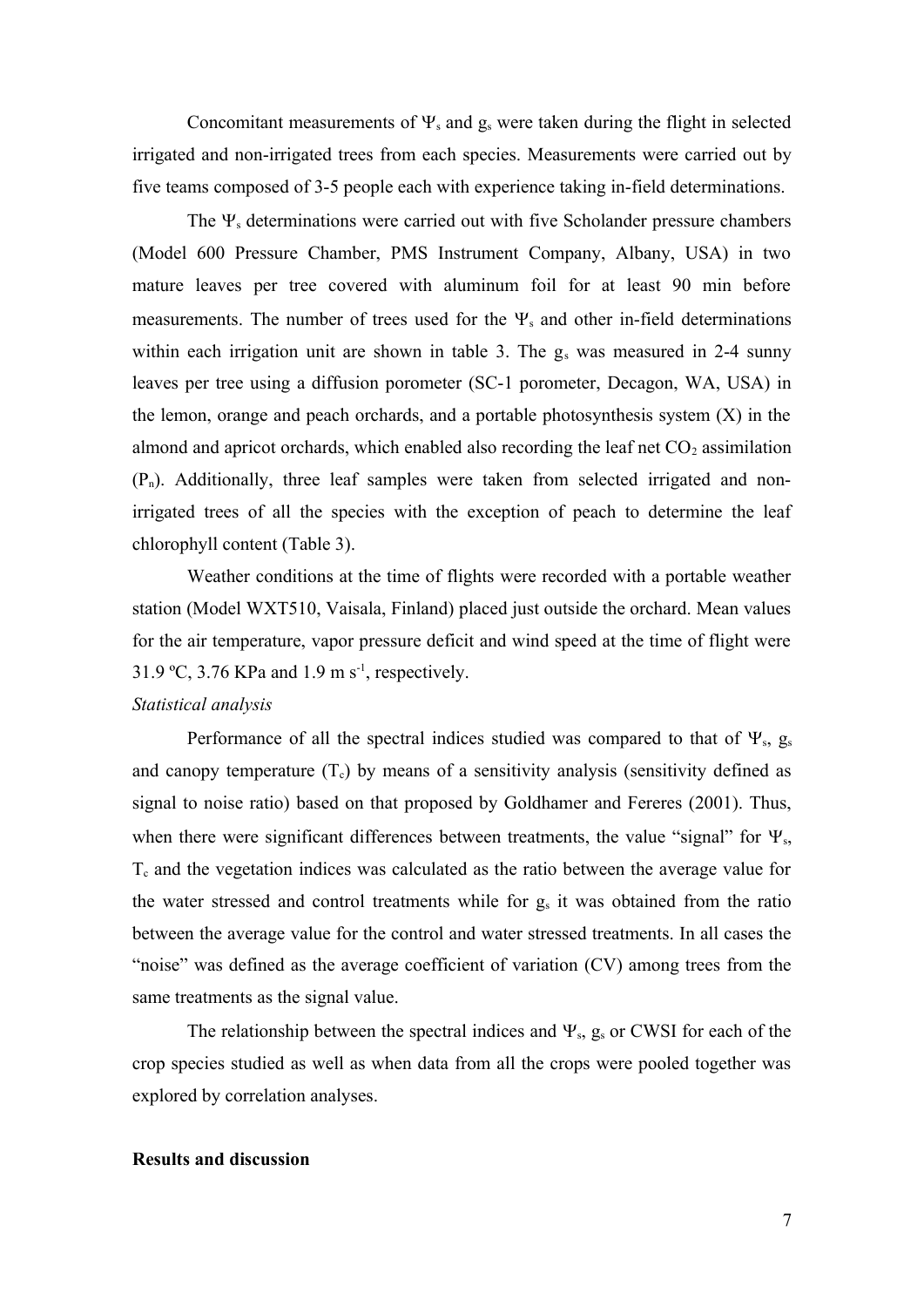Concomitant measurements of  $\Psi_s$  and  $g_s$  were taken during the flight in selected irrigated and non-irrigated trees from each species. Measurements were carried out by five teams composed of 3-5 people each with experience taking in-field determinations.

The  $\Psi_s$  determinations were carried out with five Scholander pressure chambers (Model 600 Pressure Chamber, PMS Instrument Company, Albany, USA) in two mature leaves per tree covered with aluminum foil for at least 90 min before measurements. The number of trees used for the  $\Psi_s$  and other in-field determinations within each irrigation unit are shown in table 3. The  $g_s$  was measured in 2-4 sunny leaves per tree using a diffusion porometer (SC-1 porometer, Decagon, WA, USA) in the lemon, orange and peach orchards, and a portable photosynthesis system (X) in the almond and apricot orchards, which enabled also recording the leaf net  $CO<sub>2</sub>$  assimilation  $(P_n)$ . Additionally, three leaf samples were taken from selected irrigated and nonirrigated trees of all the species with the exception of peach to determine the leaf chlorophyll content (Table 3).

Weather conditions at the time of flights were recorded with a portable weather station (Model WXT510, Vaisala, Finland) placed just outside the orchard. Mean values for the air temperature, vapor pressure deficit and wind speed at the time of flight were 31.9 °C, 3.76 KPa and 1.9 m  $s^{-1}$ , respectively.

## *Statistical analysis*

Performance of all the spectral indices studied was compared to that of  $\Psi_s$ ,  $g_s$ and canopy temperature  $(T_c)$  by means of a sensitivity analysis (sensitivity defined as signal to noise ratio) based on that proposed by Goldhamer and Fereres (2001). Thus, when there were significant differences between treatments, the value "signal" for  $\Psi_s$ ,  $T_c$  and the vegetation indices was calculated as the ratio between the average value for the water stressed and control treatments while for  $g_s$  it was obtained from the ratio between the average value for the control and water stressed treatments. In all cases the "noise" was defined as the average coefficient of variation (CV) among trees from the same treatments as the signal value.

The relationship between the spectral indices and  $\Psi_s$ ,  $g_s$  or CWSI for each of the crop species studied as well as when data from all the crops were pooled together was explored by correlation analyses.

### **Results and discussion**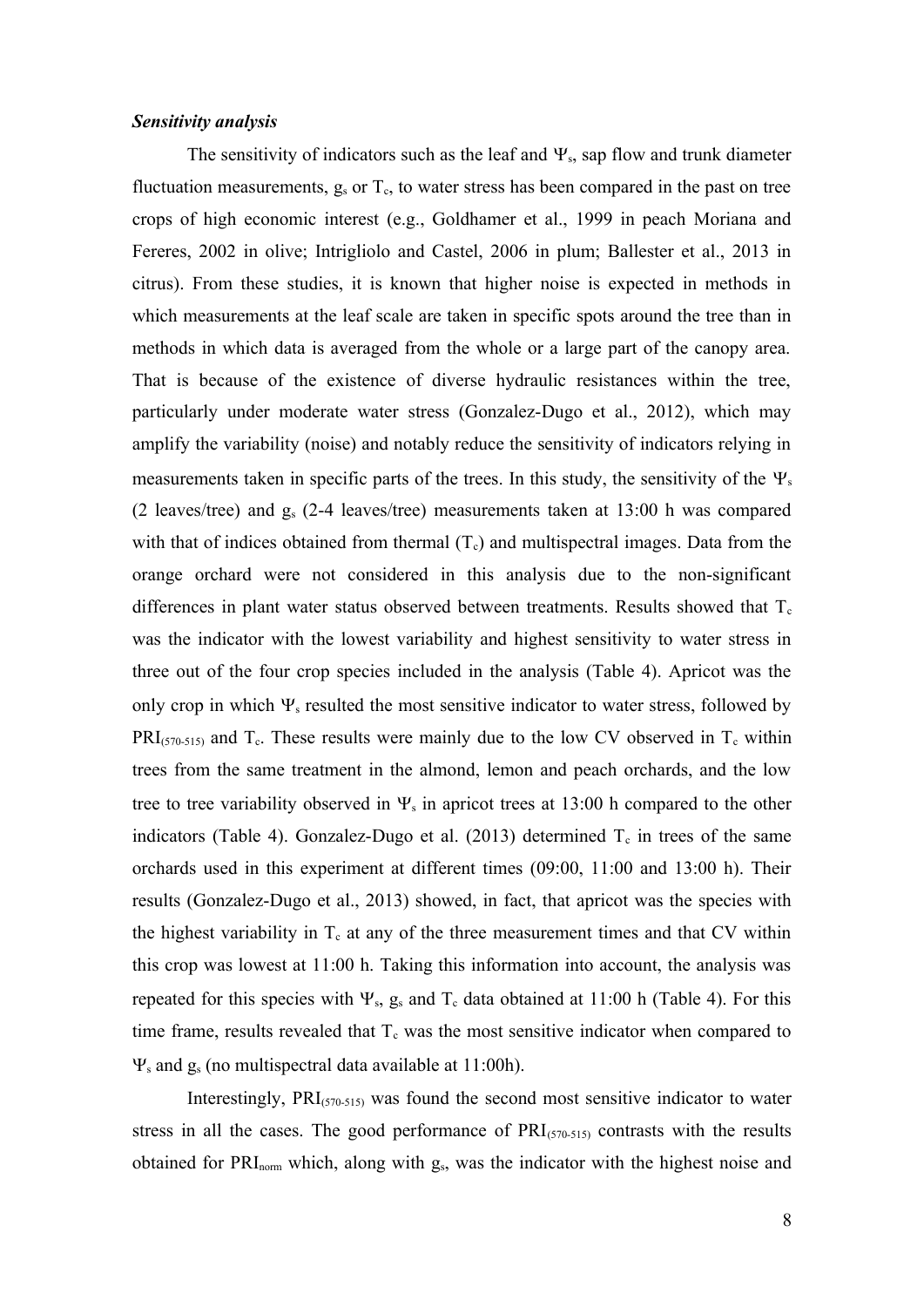#### *Sensitivity analysis*

The sensitivity of indicators such as the leaf and  $\Psi_s$ , sap flow and trunk diameter fluctuation measurements,  $g_s$  or  $T_c$ , to water stress has been compared in the past on tree crops of high economic interest (e.g., Goldhamer et al., 1999 in peach Moriana and Fereres, 2002 in olive; Intrigliolo and Castel, 2006 in plum; Ballester et al., 2013 in citrus). From these studies, it is known that higher noise is expected in methods in which measurements at the leaf scale are taken in specific spots around the tree than in methods in which data is averaged from the whole or a large part of the canopy area. That is because of the existence of diverse hydraulic resistances within the tree, particularly under moderate water stress (Gonzalez-Dugo et al., 2012), which may amplify the variability (noise) and notably reduce the sensitivity of indicators relying in measurements taken in specific parts of the trees. In this study, the sensitivity of the  $\Psi_s$ (2 leaves/tree) and gs (2-4 leaves/tree) measurements taken at 13:00 h was compared with that of indices obtained from thermal  $(T_c)$  and multispectral images. Data from the orange orchard were not considered in this analysis due to the non-significant differences in plant water status observed between treatments. Results showed that  $T_c$ was the indicator with the lowest variability and highest sensitivity to water stress in three out of the four crop species included in the analysis (Table 4). Apricot was the only crop in which  $\Psi_s$  resulted the most sensitive indicator to water stress, followed by  $PRI_{(570-515)}$  and  $T_c$ . These results were mainly due to the low CV observed in  $T_c$  within trees from the same treatment in the almond, lemon and peach orchards, and the low tree to tree variability observed in  $\Psi_s$  in apricot trees at 13:00 h compared to the other indicators (Table 4). Gonzalez-Dugo et al. (2013) determined  $T_c$  in trees of the same orchards used in this experiment at different times (09:00, 11:00 and 13:00 h). Their results (Gonzalez-Dugo et al., 2013) showed, in fact, that apricot was the species with the highest variability in  $T_c$  at any of the three measurement times and that CV within this crop was lowest at 11:00 h. Taking this information into account, the analysis was repeated for this species with  $\Psi_s$ , g<sub>s</sub> and T<sub>c</sub> data obtained at 11:00 h (Table 4). For this time frame, results revealed that  $T_c$  was the most sensitive indicator when compared to  $\Psi_s$  and  $g_s$  (no multispectral data available at 11:00h).

Interestingly,  $PRI_{(570-515)}$  was found the second most sensitive indicator to water stress in all the cases. The good performance of  $PRI<sub>(570-515)}</sub>$  contrasts with the results obtained for PRI<sub>norm</sub> which, along with g<sub>s</sub>, was the indicator with the highest noise and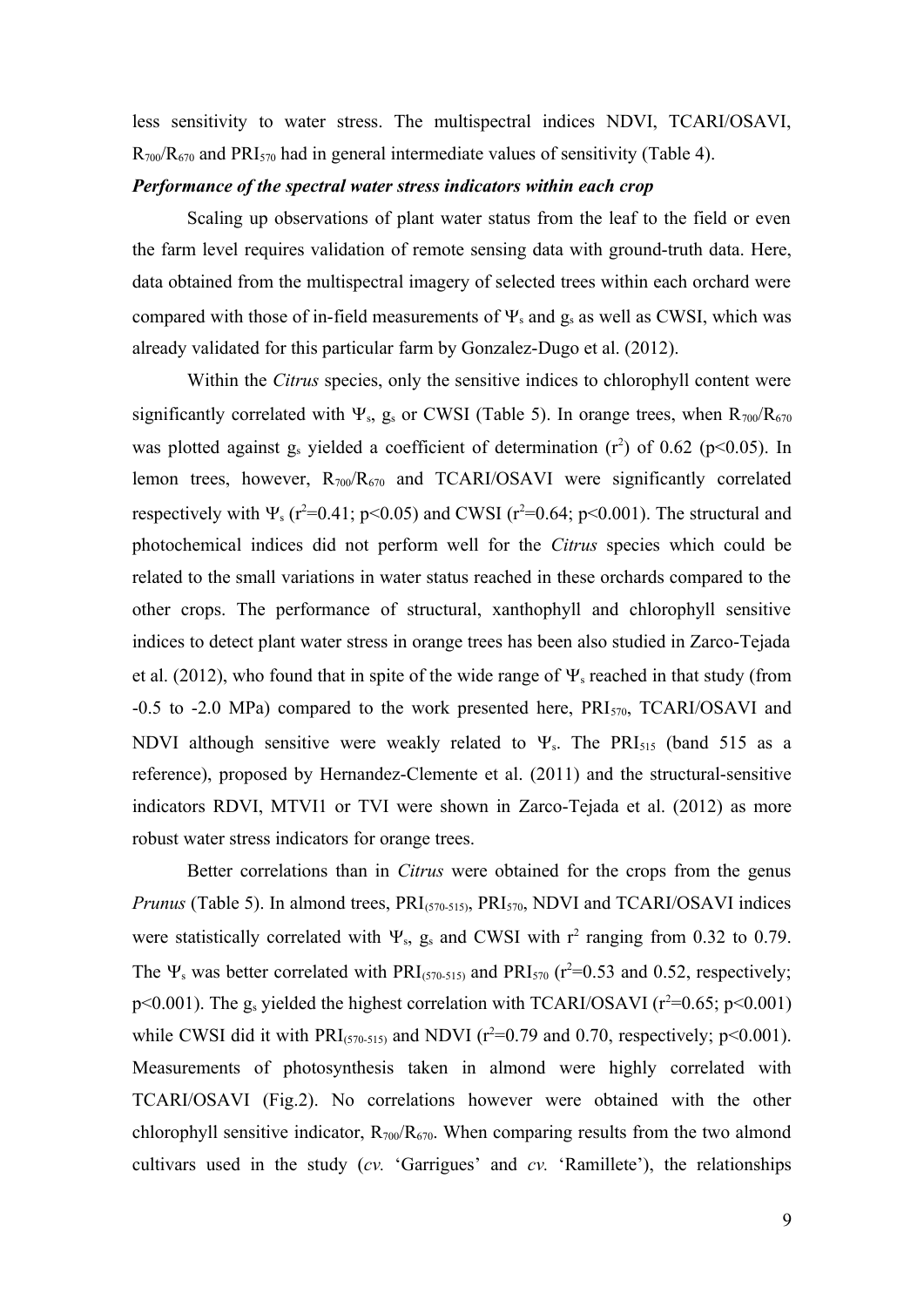less sensitivity to water stress. The multispectral indices NDVI, TCARI/OSAVI,  $R_{700}/R_{670}$  and  $PRI_{570}$  had in general intermediate values of sensitivity (Table 4).

## *Performance of the spectral water stress indicators within each crop*

Scaling up observations of plant water status from the leaf to the field or even the farm level requires validation of remote sensing data with ground-truth data. Here, data obtained from the multispectral imagery of selected trees within each orchard were compared with those of in-field measurements of  $\Psi_s$  and  $g_s$  as well as CWSI, which was already validated for this particular farm by Gonzalez-Dugo et al. (2012).

Within the *Citrus* species, only the sensitive indices to chlorophyll content were significantly correlated with  $\Psi_s$ , g<sub>s</sub> or CWSI (Table 5). In orange trees, when  $R_{700}/R_{670}$ was plotted against  $g_s$  yielded a coefficient of determination  $(r^2)$  of 0.62 (p<0.05). In lemon trees, however,  $R_{700}/R_{670}$  and TCARI/OSAVI were significantly correlated respectively with  $\Psi_s$  (r<sup>2</sup>=0.41; p<0.05) and CWSI (r<sup>2</sup>=0.64; p<0.001). The structural and photochemical indices did not perform well for the *Citrus* species which could be related to the small variations in water status reached in these orchards compared to the other crops. The performance of structural, xanthophyll and chlorophyll sensitive indices to detect plant water stress in orange trees has been also studied in Zarco-Tejada et al. (2012), who found that in spite of the wide range of  $\Psi_s$  reached in that study (from  $-0.5$  to  $-2.0$  MPa) compared to the work presented here,  $PRI_{570}$ , TCARI/OSAVI and NDVI although sensitive were weakly related to  $\Psi_s$ . The PRI<sub>515</sub> (band 515 as a reference), proposed by Hernandez-Clemente et al. (2011) and the structural-sensitive indicators RDVI, MTVI1 or TVI were shown in Zarco-Tejada et al. (2012) as more robust water stress indicators for orange trees.

Better correlations than in *Citrus* were obtained for the crops from the genus *Prunus* (Table 5). In almond trees, PRI<sub>(570-515)</sub>, PRI<sub>570</sub>, NDVI and TCARI/OSAVI indices were statistically correlated with  $\Psi_s$ , g<sub>s</sub> and CWSI with  $r^2$  ranging from 0.32 to 0.79. The  $\Psi_s$  was better correlated with PRI(570-515) and PRI<sub>570</sub> (r<sup>2</sup>=0.53 and 0.52, respectively; p<0.001). The g<sub>s</sub> yielded the highest correlation with TCARI/OSAVI ( $r^2$ =0.65; p<0.001) while CWSI did it with  $PRI_{(570-515)}$  and NDVI ( $r^2=0.79$  and 0.70, respectively;  $p<0.001$ ). Measurements of photosynthesis taken in almond were highly correlated with TCARI/OSAVI (Fig.2). No correlations however were obtained with the other chlorophyll sensitive indicator,  $R_{700}/R_{670}$ . When comparing results from the two almond cultivars used in the study (*cv.* 'Garrigues' and *cv.* 'Ramillete'), the relationships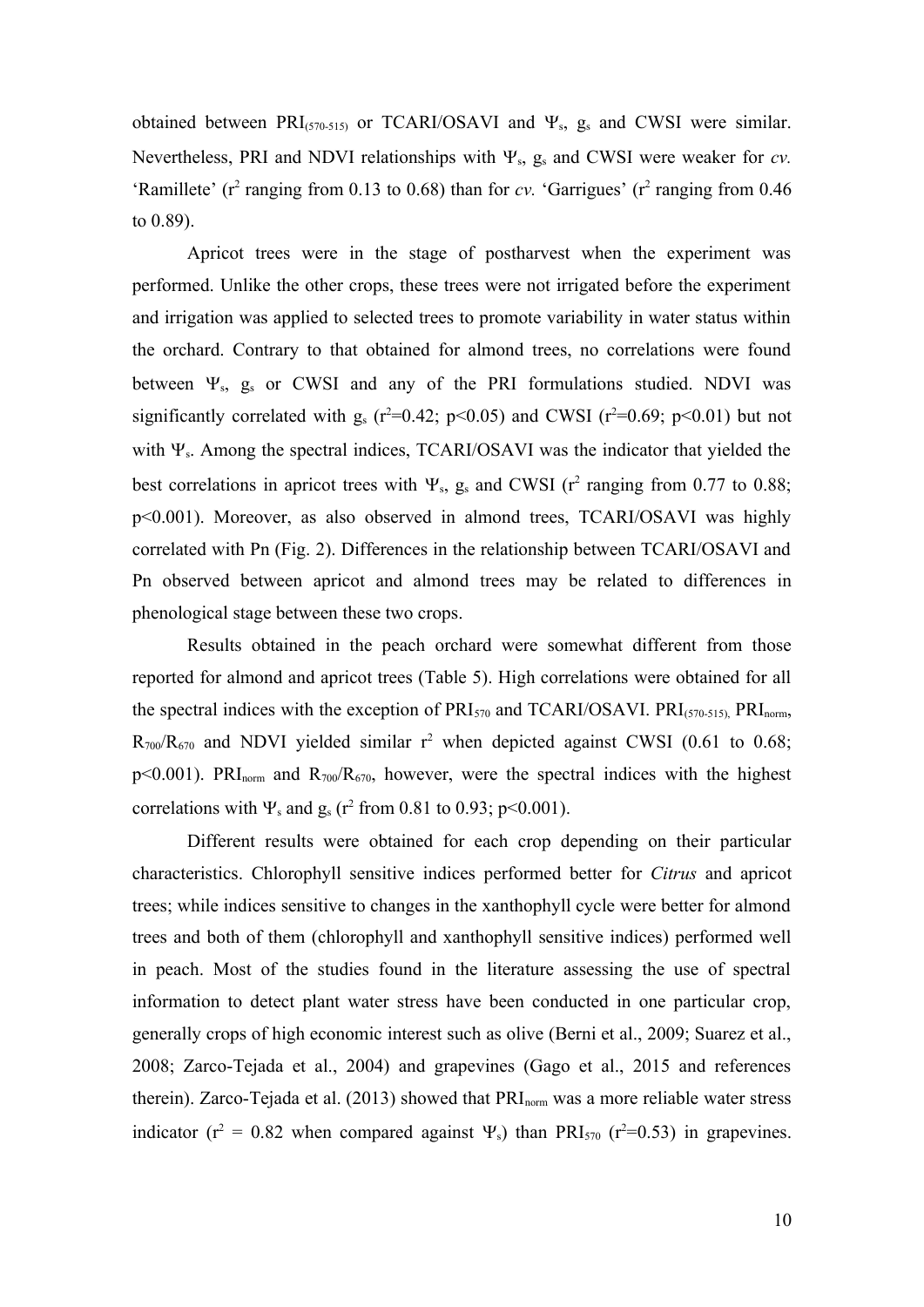obtained between  $PRI_{(570-515)}$  or TCARI/OSAVI and  $\Psi_s$ , g<sub>s</sub> and CWSI were similar. Nevertheless, PRI and NDVI relationships with  $\Psi_s$ , g<sub>s</sub> and CWSI were weaker for *cv*. 'Ramillete' ( $r^2$  ranging from 0.13 to 0.68) than for *cv*. 'Garrigues' ( $r^2$  ranging from 0.46 to 0.89).

Apricot trees were in the stage of postharvest when the experiment was performed. Unlike the other crops, these trees were not irrigated before the experiment and irrigation was applied to selected trees to promote variability in water status within the orchard. Contrary to that obtained for almond trees, no correlations were found between  $\Psi_{s}$ ,  $g_{s}$  or CWSI and any of the PRI formulations studied. NDVI was significantly correlated with  $g_s$  ( $r^2=0.42$ ;  $p<0.05$ ) and CWSI ( $r^2=0.69$ ;  $p<0.01$ ) but not with  $\Psi_s$ . Among the spectral indices, TCARI/OSAVI was the indicator that yielded the best correlations in apricot trees with  $\Psi_s$ , g<sub>s</sub> and CWSI ( $r^2$  ranging from 0.77 to 0.88; p<0.001). Moreover, as also observed in almond trees, TCARI/OSAVI was highly correlated with Pn (Fig. 2). Differences in the relationship between TCARI/OSAVI and Pn observed between apricot and almond trees may be related to differences in phenological stage between these two crops.

Results obtained in the peach orchard were somewhat different from those reported for almond and apricot trees (Table 5). High correlations were obtained for all the spectral indices with the exception of  $PRI_{570}$  and  $TCARI/OSAVI$ .  $PRI_{(570-515)}$ ,  $PRI_{norm}$ ,  $R_{700}/R_{670}$  and NDVI yielded similar  $r^2$  when depicted against CWSI (0.61 to 0.68;  $p<0.001$ ). PRI<sub>norm</sub> and  $R_{700}/R_{670}$ , however, were the spectral indices with the highest correlations with  $\Psi_s$  and  $g_s$  (r<sup>2</sup> from 0.81 to 0.93; p<0.001).

Different results were obtained for each crop depending on their particular characteristics. Chlorophyll sensitive indices performed better for *Citrus* and apricot trees; while indices sensitive to changes in the xanthophyll cycle were better for almond trees and both of them (chlorophyll and xanthophyll sensitive indices) performed well in peach. Most of the studies found in the literature assessing the use of spectral information to detect plant water stress have been conducted in one particular crop, generally crops of high economic interest such as olive (Berni et al., 2009; Suarez et al., 2008; Zarco-Tejada et al., 2004) and grapevines (Gago et al., 2015 and references therein). Zarco-Tejada et al. (2013) showed that PRI<sub>norm</sub> was a more reliable water stress indicator ( $r^2 = 0.82$  when compared against  $\Psi_s$ ) than PRI<sub>570</sub> ( $r^2=0.53$ ) in grapevines.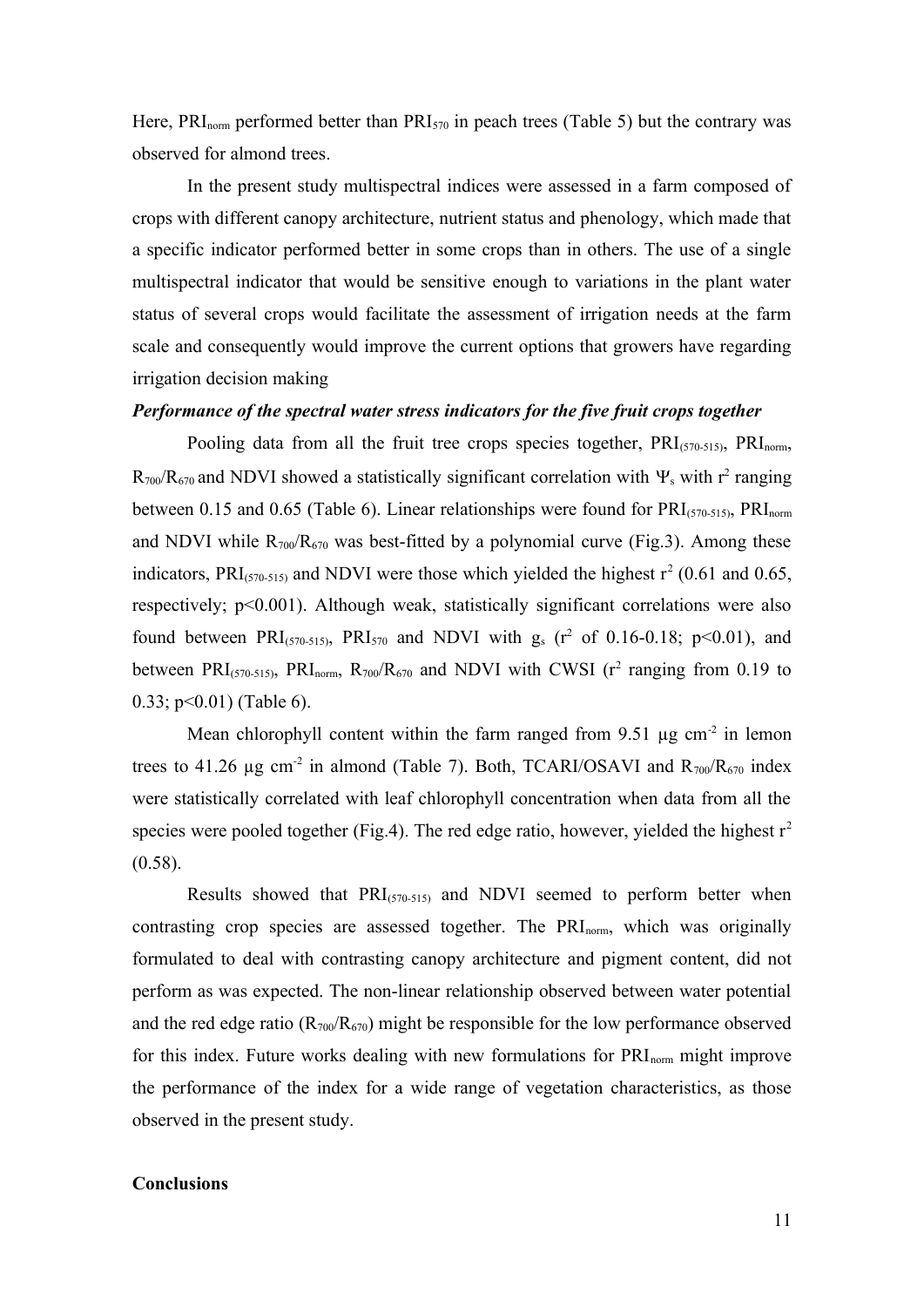Here,  $\text{PRI}_{\text{norm}}$  performed better than  $\text{PRI}_{570}$  in peach trees (Table 5) but the contrary was observed for almond trees.

In the present study multispectral indices were assessed in a farm composed of crops with different canopy architecture, nutrient status and phenology, which made that a specific indicator performed better in some crops than in others. The use of a single multispectral indicator that would be sensitive enough to variations in the plant water status of several crops would facilitate the assessment of irrigation needs at the farm scale and consequently would improve the current options that growers have regarding irrigation decision making

## *Performance of the spectral water stress indicators for the five fruit crops together*

Pooling data from all the fruit tree crops species together,  $PRI_{(570-515)}$ ,  $PRI_{\text{norm}}$ ,  $R_{700}/R_{670}$  and NDVI showed a statistically significant correlation with  $\Psi_s$  with r<sup>2</sup> ranging between 0.15 and 0.65 (Table 6). Linear relationships were found for  $PRI_{(570-515)}$ ,  $PRI_{norm}$ and NDVI while  $R_{700}/R_{670}$  was best-fitted by a polynomial curve (Fig.3). Among these indicators, PRI(570-515) and NDVI were those which yielded the highest  $r^2$  (0.61 and 0.65, respectively; p<0.001). Although weak, statistically significant correlations were also found between PRI(570-515), PRI<sub>570</sub> and NDVI with  $g_s$  (r<sup>2</sup> of 0.16-0.18; p<0.01), and between PRI(570-515), PRI<sub>norm</sub>, R<sub>700</sub>/R<sub>670</sub> and NDVI with CWSI ( $r^2$  ranging from 0.19 to 0.33; p<0.01) (Table 6).

Mean chlorophyll content within the farm ranged from 9.51  $\mu$ g cm<sup>-2</sup> in lemon trees to 41.26  $\mu$ g cm<sup>-2</sup> in almond (Table 7). Both, TCARI/OSAVI and R<sub>700</sub>/R<sub>670</sub> index were statistically correlated with leaf chlorophyll concentration when data from all the species were pooled together (Fig.4). The red edge ratio, however, yielded the highest  $r^2$  $(0.58)$ .

Results showed that  $PRI_{(570-515)}$  and NDVI seemed to perform better when contrasting crop species are assessed together. The  $PRI_{norm}$ , which was originally formulated to deal with contrasting canopy architecture and pigment content, did not perform as was expected. The non-linear relationship observed between water potential and the red edge ratio ( $R_{700}/R_{670}$ ) might be responsible for the low performance observed for this index. Future works dealing with new formulations for  $PRI_{norm}$  might improve the performance of the index for a wide range of vegetation characteristics, as those observed in the present study.

## **Conclusions**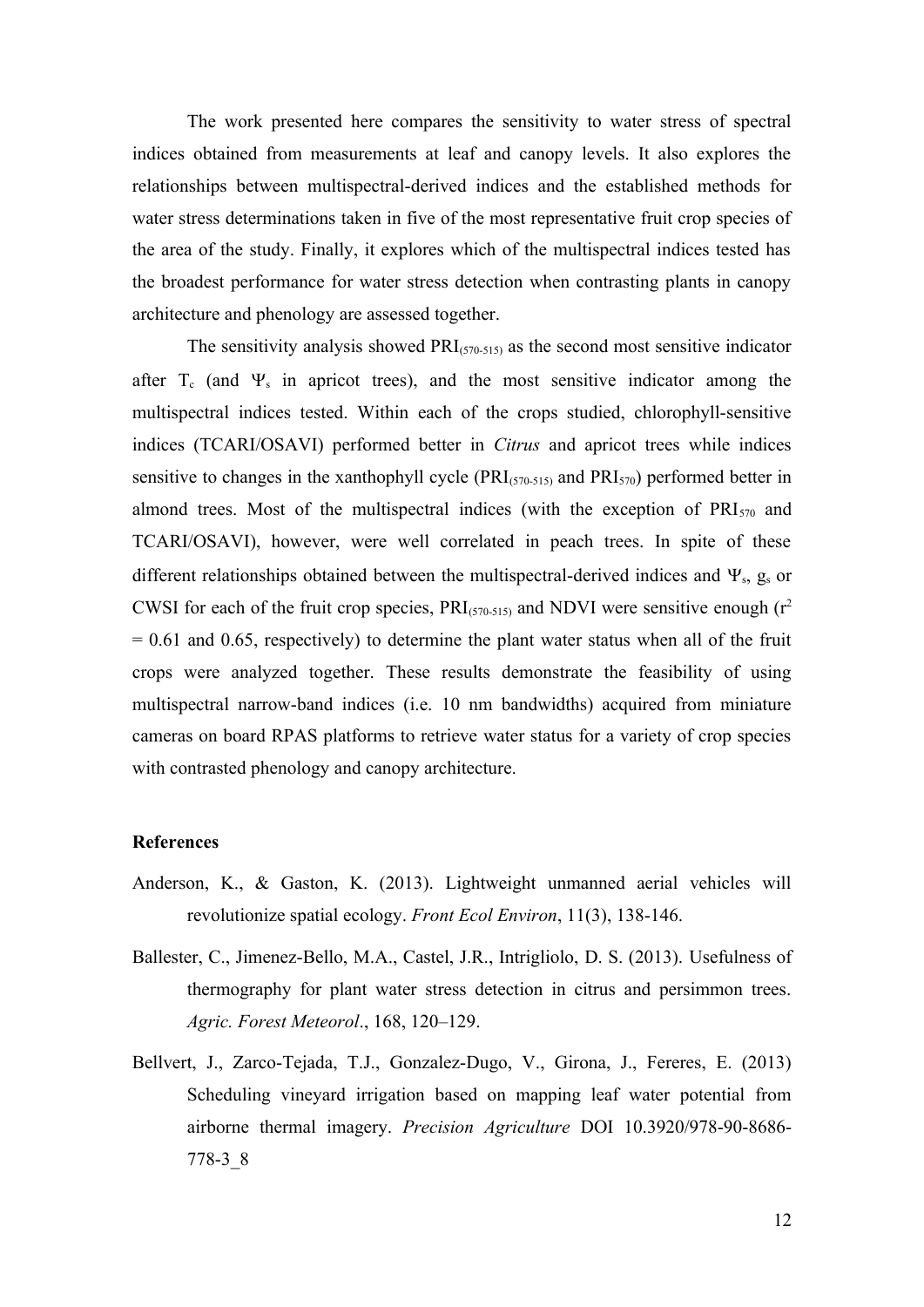The work presented here compares the sensitivity to water stress of spectral indices obtained from measurements at leaf and canopy levels. It also explores the relationships between multispectral-derived indices and the established methods for water stress determinations taken in five of the most representative fruit crop species of the area of the study. Finally, it explores which of the multispectral indices tested has the broadest performance for water stress detection when contrasting plants in canopy architecture and phenology are assessed together.

The sensitivity analysis showed  $PRI_{(570-515)}$  as the second most sensitive indicator after  $T_c$  (and  $\Psi_s$  in apricot trees), and the most sensitive indicator among the multispectral indices tested. Within each of the crops studied, chlorophyll-sensitive indices (TCARI/OSAVI) performed better in *Citrus* and apricot trees while indices sensitive to changes in the xanthophyll cycle ( $PRI_{(570-515)}$  and  $PRI_{(570)}$ ) performed better in almond trees. Most of the multispectral indices (with the exception of  $PRI_{570}$  and TCARI/OSAVI), however, were well correlated in peach trees. In spite of these different relationships obtained between the multispectral-derived indices and  $\Psi_s$ ,  $g_s$  or CWSI for each of the fruit crop species,  $PRI_{(570-515)}$  and NDVI were sensitive enough ( $r^2$ )  $= 0.61$  and 0.65, respectively) to determine the plant water status when all of the fruit crops were analyzed together. These results demonstrate the feasibility of using multispectral narrow-band indices (i.e. 10 nm bandwidths) acquired from miniature cameras on board RPAS platforms to retrieve water status for a variety of crop species with contrasted phenology and canopy architecture.

## **References**

- Anderson, K., & Gaston, K. (2013). Lightweight unmanned aerial vehicles will revolutionize spatial ecology. *Front Ecol Environ*, 11(3), 138-146.
- Ballester, C., Jimenez-Bello, M.A., Castel, J.R., Intrigliolo, D. S. (2013). Usefulness of thermography for plant water stress detection in citrus and persimmon trees. *Agric. Forest Meteorol*., 168, 120–129.
- Bellvert, J., Zarco-Tejada, T.J., Gonzalez-Dugo, V., Girona, J., Fereres, E. (2013) Scheduling vineyard irrigation based on mapping leaf water potential from airborne thermal imagery. *Precision Agriculture* DOI 10.3920/978-90-8686- 778-3\_8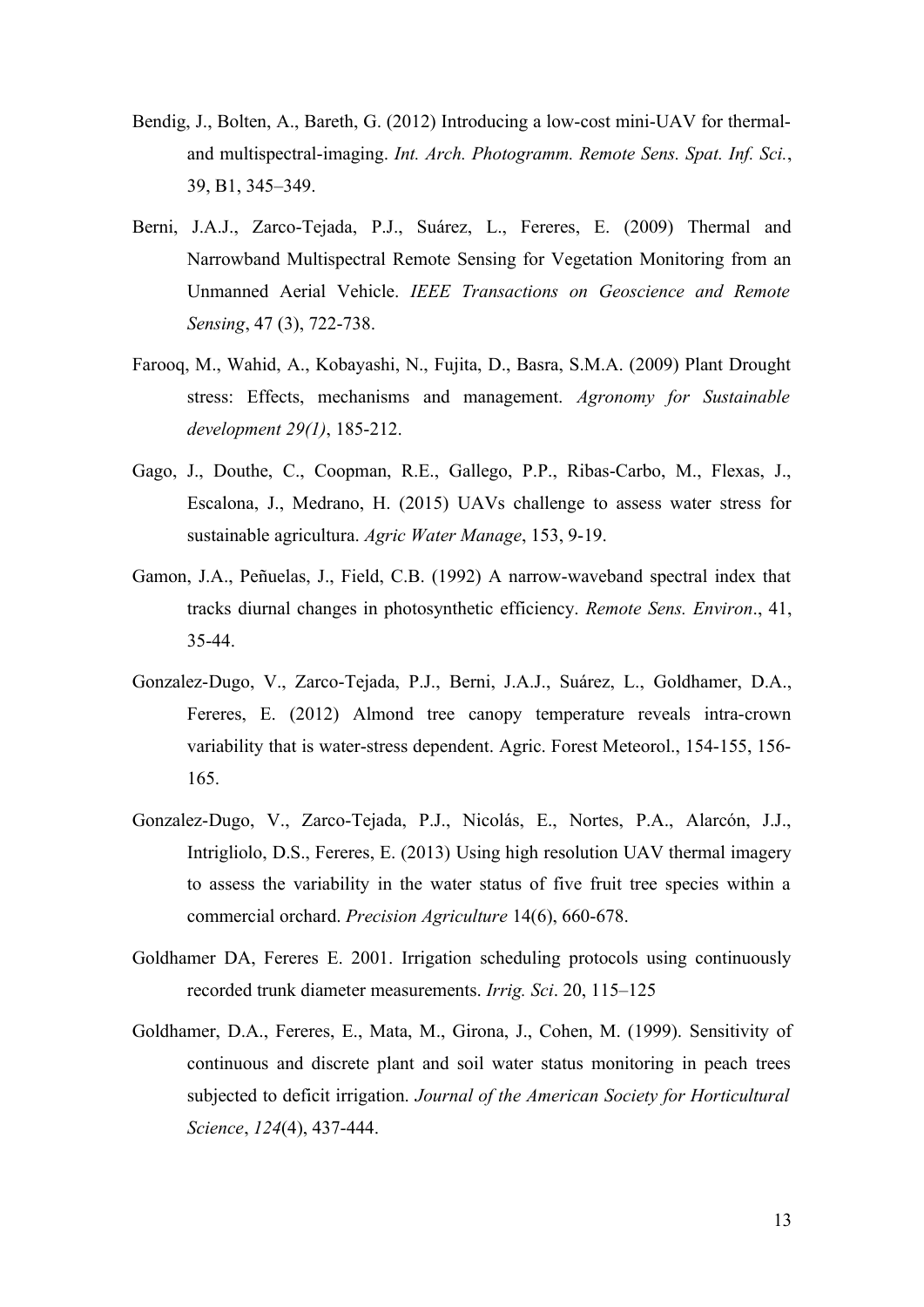- Bendig, J., Bolten, A., Bareth, G. (2012) Introducing a low-cost mini-UAV for thermaland multispectral-imaging. *Int. Arch. Photogramm. Remote Sens. Spat. Inf. Sci.*, 39, B1, 345–349.
- Berni, J.A.J., Zarco-Tejada, P.J., Suárez, L., Fereres, E. (2009) Thermal and Narrowband Multispectral Remote Sensing for Vegetation Monitoring from an Unmanned Aerial Vehicle. *IEEE Transactions on Geoscience and Remote Sensing*, 47 (3), 722-738.
- Farooq, M., Wahid, A., Kobayashi, N., Fujita, D., Basra, S.M.A. (2009) Plant Drought stress: Effects, mechanisms and management. *Agronomy for Sustainable development 29(1)*, 185-212.
- Gago, J., Douthe, C., Coopman, R.E., Gallego, P.P., Ribas-Carbo, M., Flexas, J., Escalona, J., Medrano, H. (2015) UAVs challenge to assess water stress for sustainable agricultura. *Agric Water Manage*, 153, 9-19.
- Gamon, J.A., Peñuelas, J., Field, C.B. (1992) A narrow-waveband spectral index that tracks diurnal changes in photosynthetic efficiency. *Remote Sens. Environ*., 41, 35-44.
- Gonzalez-Dugo, V., Zarco-Tejada, P.J., Berni, J.A.J., Suárez, L., Goldhamer, D.A., Fereres, E. (2012) Almond tree canopy temperature reveals intra-crown variability that is water-stress dependent. Agric. Forest Meteorol., 154-155, 156- 165.
- Gonzalez-Dugo, V., Zarco-Tejada, P.J., Nicolás, E., Nortes, P.A., Alarcón, J.J., Intrigliolo, D.S., Fereres, E. (2013) Using high resolution UAV thermal imagery to assess the variability in the water status of five fruit tree species within a commercial orchard. *Precision Agriculture* 14(6), 660-678.
- Goldhamer DA, Fereres E. 2001. Irrigation scheduling protocols using continuously recorded trunk diameter measurements. *Irrig. Sci*. 20, 115–125
- Goldhamer, D.A., Fereres, E., Mata, M., Girona, J., Cohen, M. (1999). Sensitivity of continuous and discrete plant and soil water status monitoring in peach trees subjected to deficit irrigation. *Journal of the American Society for Horticultural Science*, *124*(4), 437-444.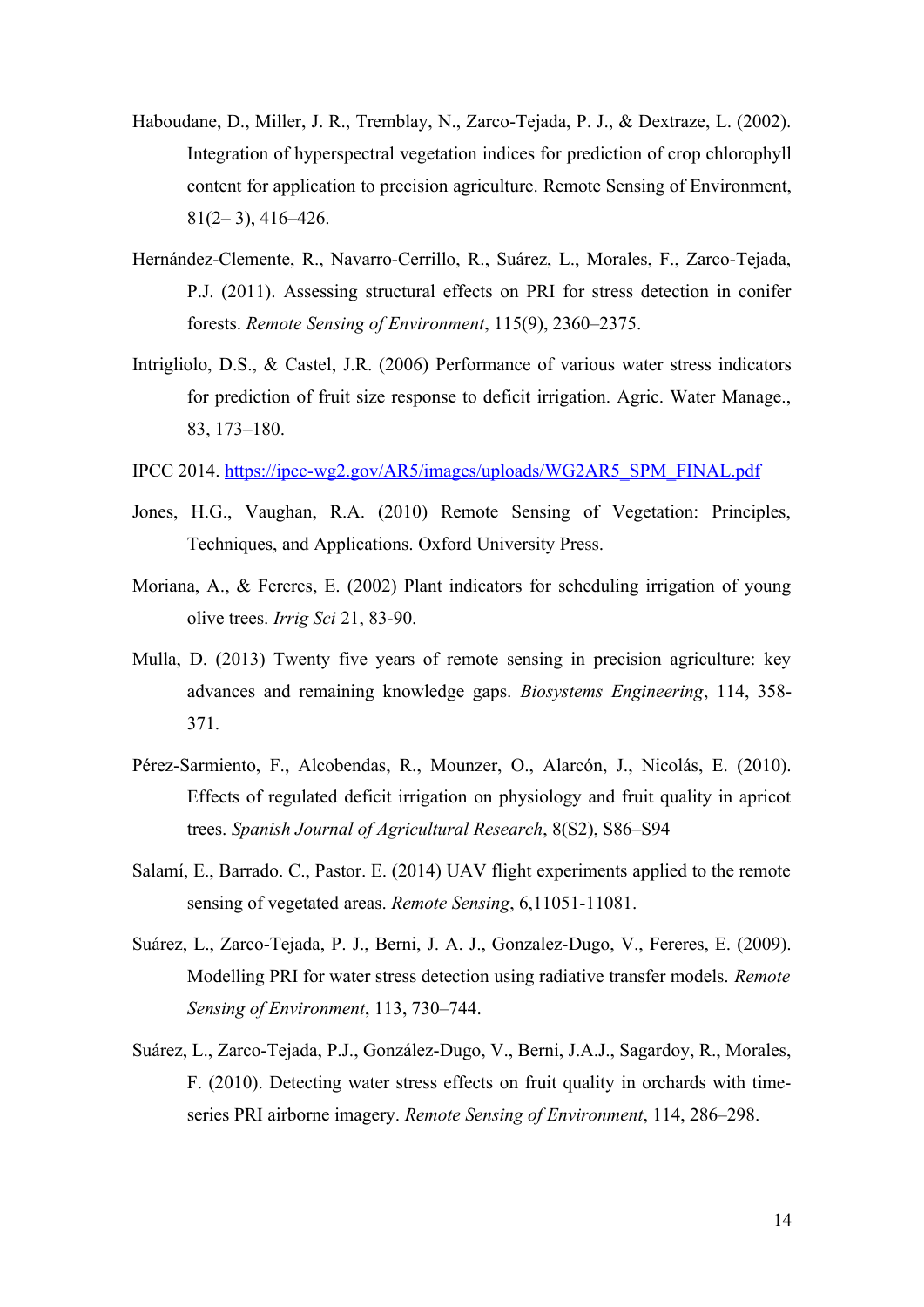- Haboudane, D., Miller, J. R., Tremblay, N., Zarco-Tejada, P. J., & Dextraze, L. (2002). Integration of hyperspectral vegetation indices for prediction of crop chlorophyll content for application to precision agriculture. Remote Sensing of Environment,  $81(2-3)$ , 416–426.
- Hernández-Clemente, R., Navarro-Cerrillo, R., Suárez, L., Morales, F., Zarco-Tejada, P.J. (2011). Assessing structural effects on PRI for stress detection in conifer forests. *Remote Sensing of Environment*, 115(9), 2360–2375.
- Intrigliolo, D.S., & Castel, J.R. (2006) Performance of various water stress indicators for prediction of fruit size response to deficit irrigation. Agric. Water Manage., 83, 173–180.
- IPCC 2014. [https://ipcc-wg2.gov/AR5/images/uploads/WG2AR5\\_SPM\\_FINAL.pdf](https://ipcc-wg2.gov/AR5/images/uploads/WG2AR5_SPM_FINAL.pdf)
- Jones, H.G., Vaughan, R.A. (2010) Remote Sensing of Vegetation: Principles, Techniques, and Applications. Oxford University Press.
- Moriana, A., & Fereres, E. (2002) Plant indicators for scheduling irrigation of young olive trees. *Irrig Sci* 21, 83-90.
- Mulla, D. (2013) Twenty five years of remote sensing in precision agriculture: key advances and remaining knowledge gaps. *Biosystems Engineering*, 114, 358- 371.
- Pérez-Sarmiento, F., Alcobendas, R., Mounzer, O., Alarcón, J., Nicolás, E. (2010). Effects of regulated deficit irrigation on physiology and fruit quality in apricot trees. *Spanish Journal of Agricultural Research*, 8(S2), S86–S94
- Salamí, E., Barrado. C., Pastor. E. (2014) UAV flight experiments applied to the remote sensing of vegetated areas. *Remote Sensing*, 6,11051-11081.
- Suárez, L., Zarco-Tejada, P. J., Berni, J. A. J., Gonzalez-Dugo, V., Fereres, E. (2009). Modelling PRI for water stress detection using radiative transfer models. *Remote Sensing of Environment*, 113, 730–744.
- Suárez, L., Zarco-Tejada, P.J., González-Dugo, V., Berni, J.A.J., Sagardoy, R., Morales, F. (2010). Detecting water stress effects on fruit quality in orchards with timeseries PRI airborne imagery. *Remote Sensing of Environment*, 114, 286–298.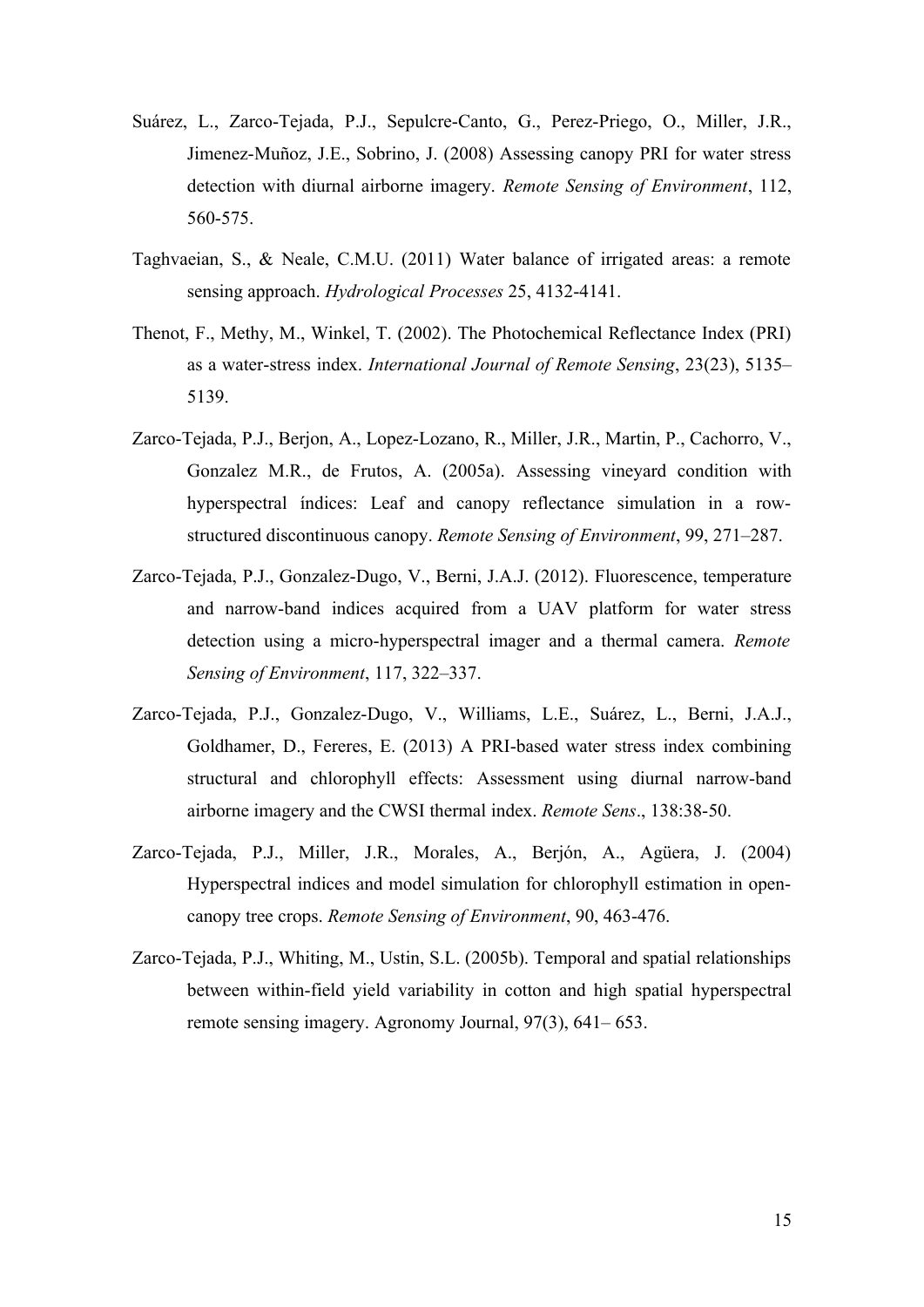- Suárez, L., Zarco-Tejada, P.J., Sepulcre-Canto, G., Perez-Priego, O., Miller, J.R., Jimenez-Muñoz, J.E., Sobrino, J. (2008) Assessing canopy PRI for water stress detection with diurnal airborne imagery. *Remote Sensing of Environment*, 112, 560-575.
- Taghvaeian, S., & Neale, C.M.U. (2011) Water balance of irrigated areas: a remote sensing approach. *Hydrological Processes* 25, 4132-4141.
- Thenot, F., Methy, M., Winkel, T. (2002). The Photochemical Reflectance Index (PRI) as a water-stress index. *International Journal of Remote Sensing*, 23(23), 5135– 5139.
- Zarco-Tejada, P.J., Berjon, A., Lopez-Lozano, R., Miller, J.R., Martin, P., Cachorro, V., Gonzalez M.R., de Frutos, A. (2005a). Assessing vineyard condition with hyperspectral índices: Leaf and canopy reflectance simulation in a rowstructured discontinuous canopy. *Remote Sensing of Environment*, 99, 271–287.
- Zarco-Tejada, P.J., Gonzalez-Dugo, V., Berni, J.A.J. (2012). Fluorescence, temperature and narrow-band indices acquired from a UAV platform for water stress detection using a micro-hyperspectral imager and a thermal camera. *Remote Sensing of Environment*, 117, 322–337.
- Zarco-Tejada, P.J., Gonzalez-Dugo, V., Williams, L.E., Suárez, L., Berni, J.A.J., Goldhamer, D., Fereres, E. (2013) A PRI-based water stress index combining structural and chlorophyll effects: Assessment using diurnal narrow-band airborne imagery and the CWSI thermal index. *Remote Sens*., 138:38-50.
- Zarco-Tejada, P.J., Miller, J.R., Morales, A., Berjón, A., Agüera, J. (2004) Hyperspectral indices and model simulation for chlorophyll estimation in opencanopy tree crops. *Remote Sensing of Environment*, 90, 463-476.
- Zarco-Tejada, P.J., Whiting, M., Ustin, S.L. (2005b). Temporal and spatial relationships between within-field yield variability in cotton and high spatial hyperspectral remote sensing imagery. Agronomy Journal, 97(3), 641– 653.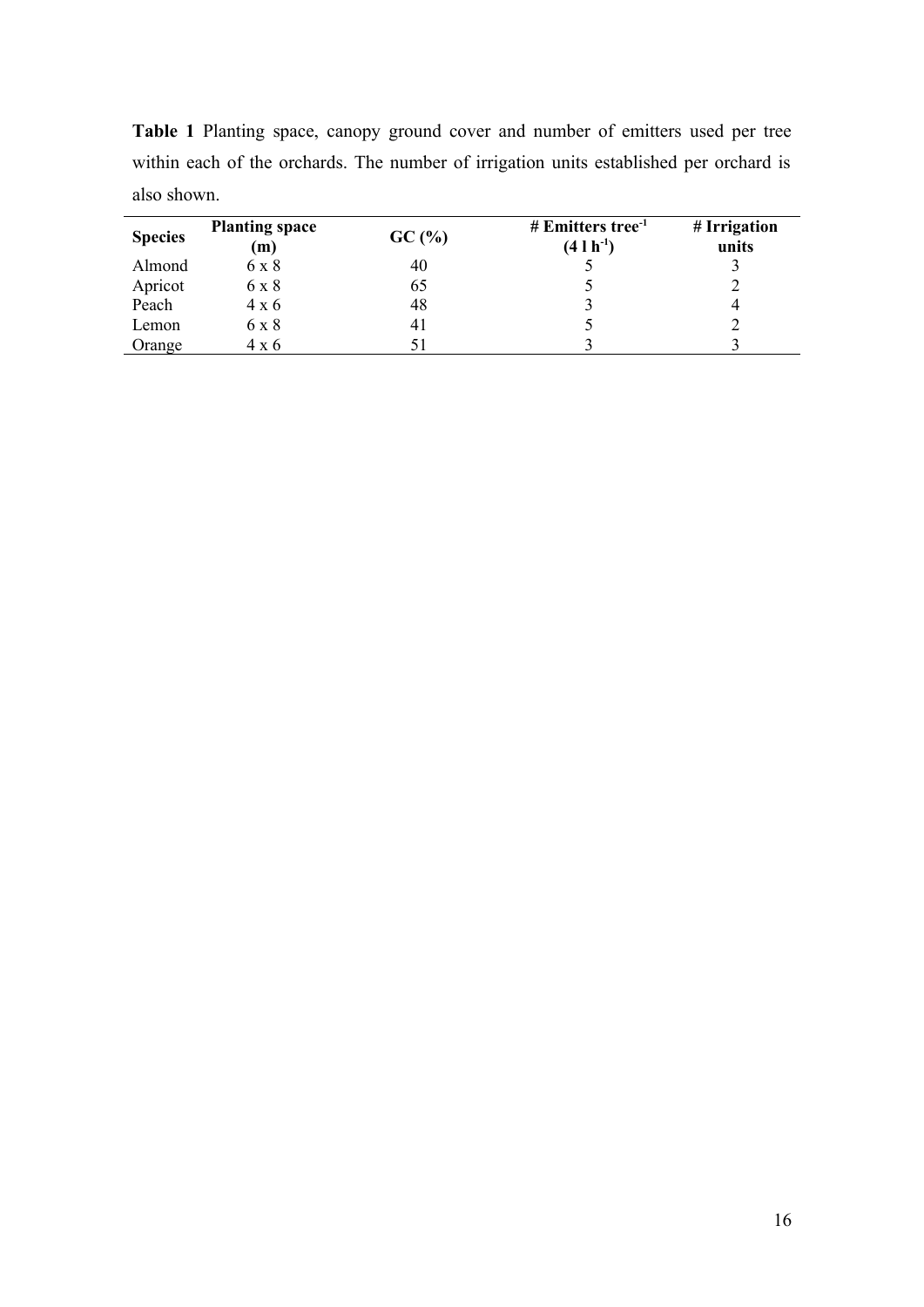| <b>Species</b> | <b>Planting space</b><br>(m) | GC(%) | # Emitters tree <sup>-1</sup><br>$(4 \, 1 \, h^{-1})$ | # Irrigation<br>units |
|----------------|------------------------------|-------|-------------------------------------------------------|-----------------------|
| Almond         | 6 x 8                        | 40    |                                                       |                       |
| Apricot        | 6 x 8                        | 65    |                                                       |                       |
| Peach          | $4 \times 6$                 | 48    |                                                       | 4                     |
| Lemon          | 6 x 8                        | 41    |                                                       |                       |
| Orange         | 4 x 6                        | 51    |                                                       |                       |

**Table 1** Planting space, canopy ground cover and number of emitters used per tree within each of the orchards. The number of irrigation units established per orchard is also shown.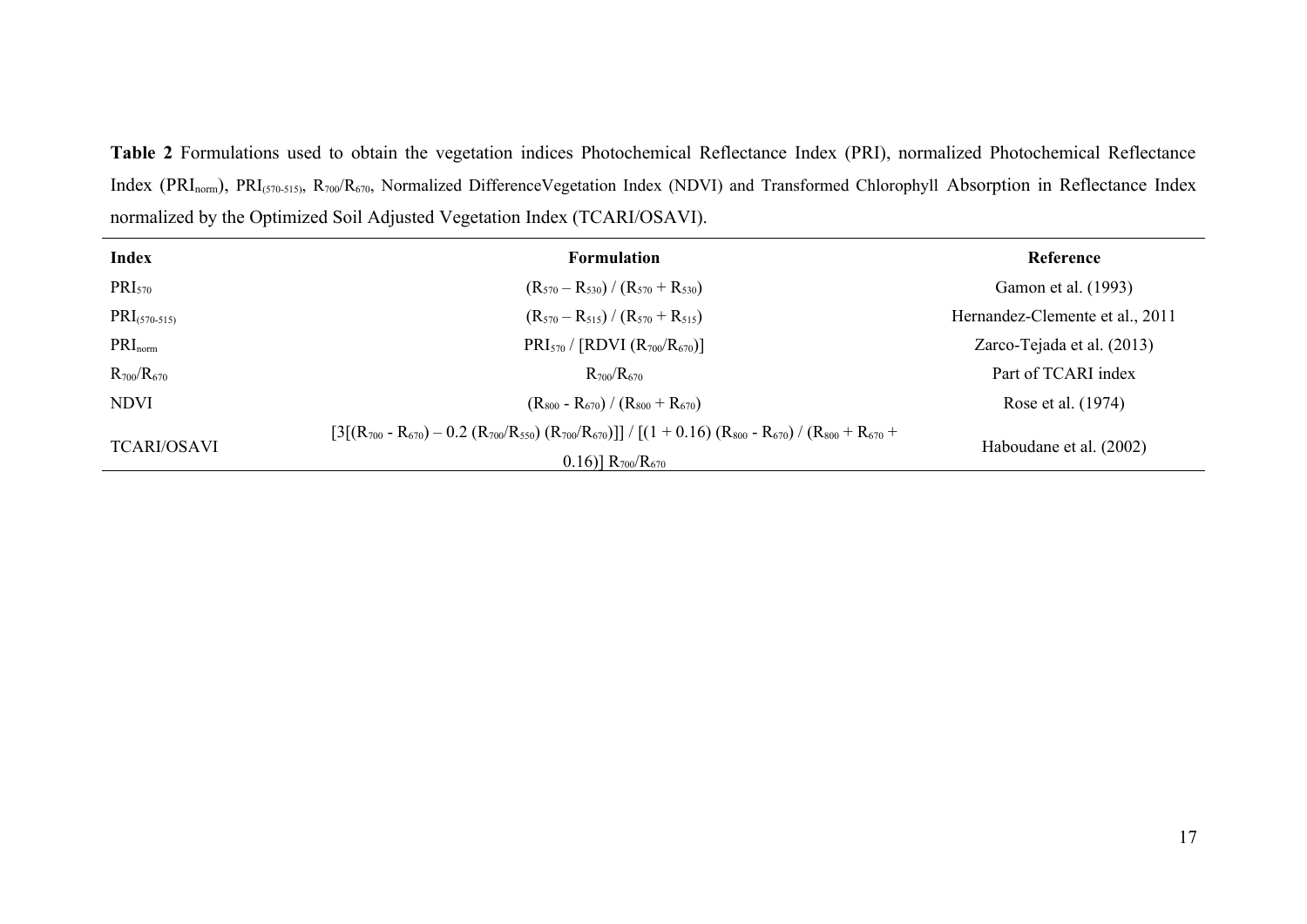**Table 2** Formulations used to obtain the vegetation indices Photochemical Reflectance Index (PRI), normalized Photochemical Reflectance Index (PRI<sub>norm</sub>), PRI<sub>(570-515)</sub>, R<sub>700</sub>/R<sub>670</sub>, Normalized DifferenceVegetation Index (NDVI) and Transformed Chlorophyll Absorption in Reflectance Index normalized by the Optimized Soil Adjusted Vegetation Index (TCARI/OSAVI).

| <b>Index</b>             | <b>Formulation</b>                                                                                                                                          | Reference                       |
|--------------------------|-------------------------------------------------------------------------------------------------------------------------------------------------------------|---------------------------------|
| PRI <sub>570</sub>       | $(R_{570} - R_{530}) / (R_{570} + R_{530})$                                                                                                                 | Gamon et al. (1993)             |
| $\text{PRI}_{(570-515)}$ | $(R_{570}-R_{515})/(R_{570}+R_{515})$                                                                                                                       | Hernandez-Clemente et al., 2011 |
| $PRI_{norm}$             | $PRI_{570}/[RDVI (R_{700}/R_{670})]$                                                                                                                        | Zarco-Tejada et al. (2013)      |
| $R_{700}/R_{670}$        | $R_{700}/R_{670}$                                                                                                                                           | Part of TCARI index             |
| <b>NDVI</b>              | $(R_{800} - R_{670}) / (R_{800} + R_{670})$                                                                                                                 | Rose et al. (1974)              |
| <b>TCARI/OSAVI</b>       | $[3[(R_{700} - R_{670}) - 0.2 (R_{700}/R_{550}) (R_{700}/R_{670})]] / [(1 + 0.16) (R_{800} - R_{670}) / (R_{800} + R_{670} +$<br>$0.16$ ] $R_{700}/R_{670}$ | Haboudane et al. (2002)         |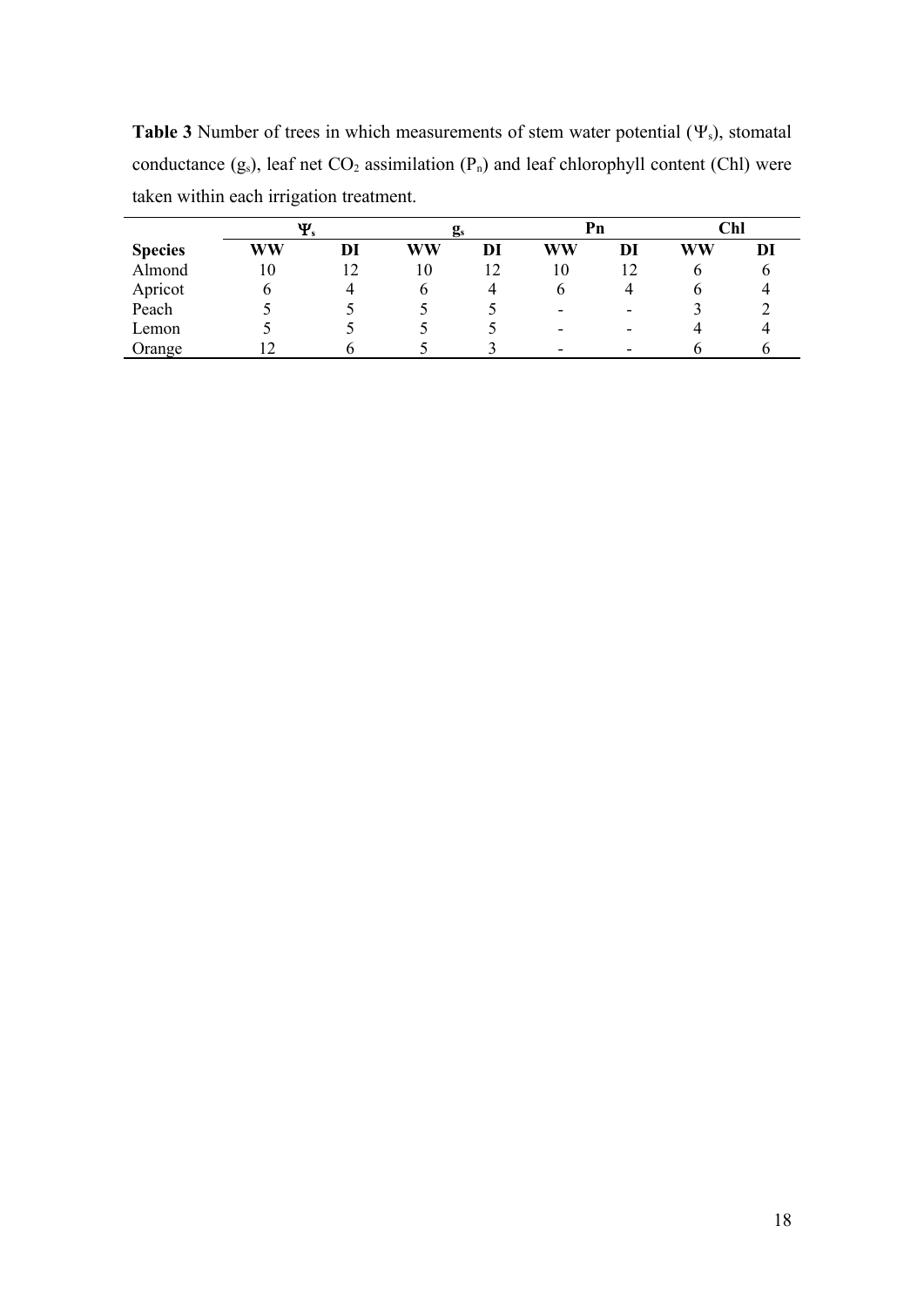**Table 3** Number of trees in which measurements of stem water potential  $(\Psi_s)$ , stomatal conductance  $(g_s)$ , leaf net  $CO_2$  assimilation  $(P_n)$  and leaf chlorophyll content (Chl) were taken within each irrigation treatment.

|                | Ψ  |    |    | $\mathbf{g}_s$ |    | Pn                       |    | <b>Chl</b> |  |
|----------------|----|----|----|----------------|----|--------------------------|----|------------|--|
| <b>Species</b> | WW | DI | WW | DI             | WW | DI                       | WW | DI         |  |
| Almond         | 10 | 12 | 10 | 12             | 10 |                          |    |            |  |
| Apricot        |    |    |    |                | O  |                          |    |            |  |
| Peach          |    |    |    |                | -  | -                        |    |            |  |
| Lemon          |    |    |    |                | -  | $\overline{\phantom{a}}$ |    |            |  |
| Orange         |    |    |    |                |    |                          |    |            |  |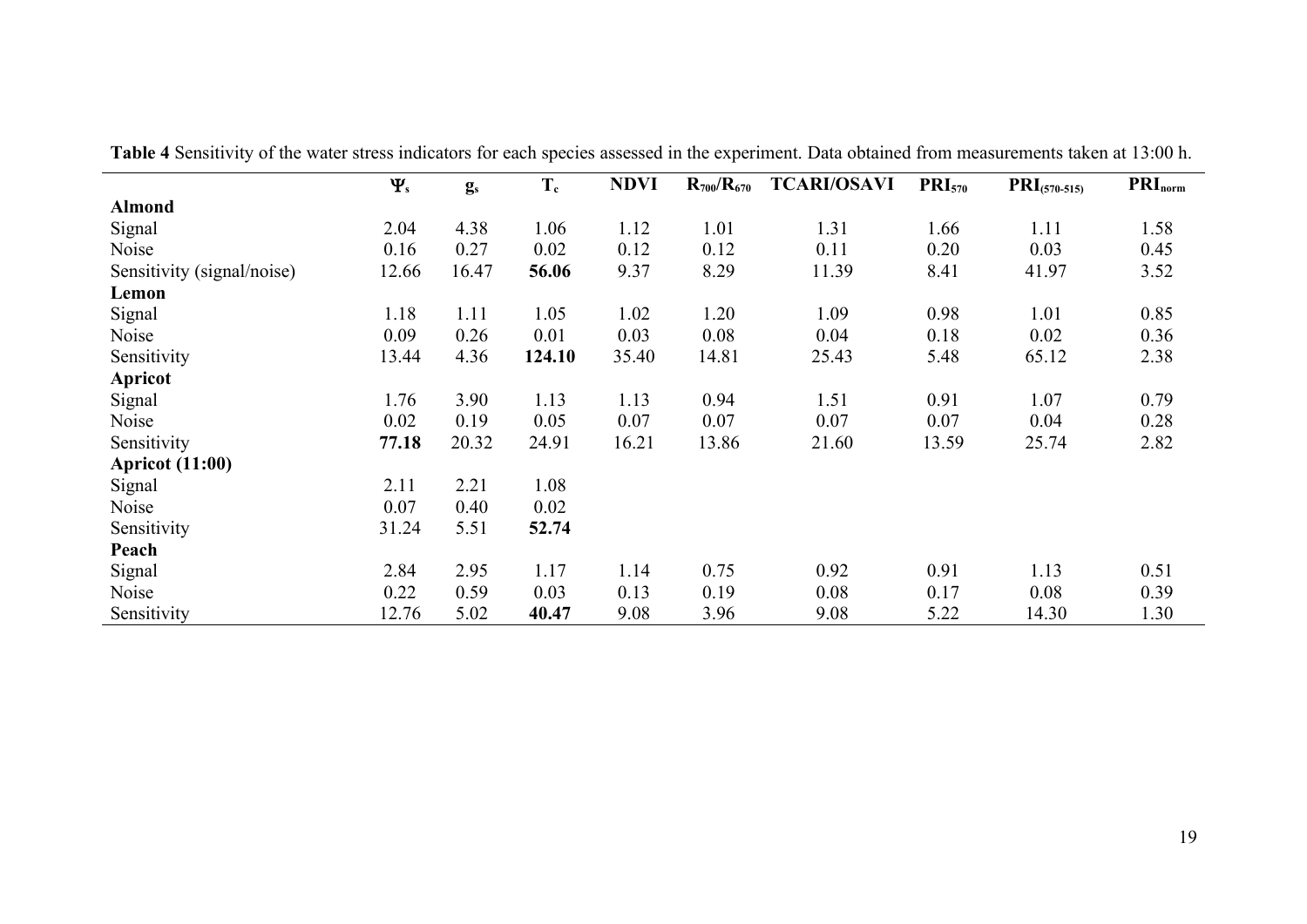|                            | $\Psi_{s}$ | $g_s$ | $T_c$  | <b>NDVI</b> | $R_{700}/R_{670}$ | <b>TCARI/OSAVI</b> | $\text{PRI}_{570}$ | $\text{PRI}_{(570-515)}$ | $PRI_{norm}$ |
|----------------------------|------------|-------|--------|-------------|-------------------|--------------------|--------------------|--------------------------|--------------|
| <b>Almond</b>              |            |       |        |             |                   |                    |                    |                          |              |
| Signal                     | 2.04       | 4.38  | 1.06   | 1.12        | 1.01              | 1.31               | 1.66               | 1.11                     | 1.58         |
| Noise                      | 0.16       | 0.27  | 0.02   | 0.12        | 0.12              | 0.11               | 0.20               | 0.03                     | 0.45         |
| Sensitivity (signal/noise) | 12.66      | 16.47 | 56.06  | 9.37        | 8.29              | 11.39              | 8.41               | 41.97                    | 3.52         |
| Lemon                      |            |       |        |             |                   |                    |                    |                          |              |
| Signal                     | 1.18       | 1.11  | 1.05   | 1.02        | 1.20              | 1.09               | 0.98               | 1.01                     | 0.85         |
| Noise                      | 0.09       | 0.26  | 0.01   | 0.03        | 0.08              | 0.04               | 0.18               | 0.02                     | 0.36         |
| Sensitivity                | 13.44      | 4.36  | 124.10 | 35.40       | 14.81             | 25.43              | 5.48               | 65.12                    | 2.38         |
| <b>Apricot</b>             |            |       |        |             |                   |                    |                    |                          |              |
| Signal                     | 1.76       | 3.90  | 1.13   | 1.13        | 0.94              | 1.51               | 0.91               | 1.07                     | 0.79         |
| Noise                      | 0.02       | 0.19  | 0.05   | 0.07        | 0.07              | 0.07               | 0.07               | 0.04                     | 0.28         |
| Sensitivity                | 77.18      | 20.32 | 24.91  | 16.21       | 13.86             | 21.60              | 13.59              | 25.74                    | 2.82         |
| <b>Apricot</b> (11:00)     |            |       |        |             |                   |                    |                    |                          |              |
| Signal                     | 2.11       | 2.21  | 1.08   |             |                   |                    |                    |                          |              |
| Noise                      | 0.07       | 0.40  | 0.02   |             |                   |                    |                    |                          |              |
| Sensitivity                | 31.24      | 5.51  | 52.74  |             |                   |                    |                    |                          |              |
| Peach                      |            |       |        |             |                   |                    |                    |                          |              |
| Signal                     | 2.84       | 2.95  | 1.17   | 1.14        | 0.75              | 0.92               | 0.91               | 1.13                     | 0.51         |
| Noise                      | 0.22       | 0.59  | 0.03   | 0.13        | 0.19              | 0.08               | 0.17               | 0.08                     | 0.39         |
| Sensitivity                | 12.76      | 5.02  | 40.47  | 9.08        | 3.96              | 9.08               | 5.22               | 14.30                    | 1.30         |

**Table 4** Sensitivity of the water stress indicators for each species assessed in the experiment. Data obtained from measurements taken at 13:00 h.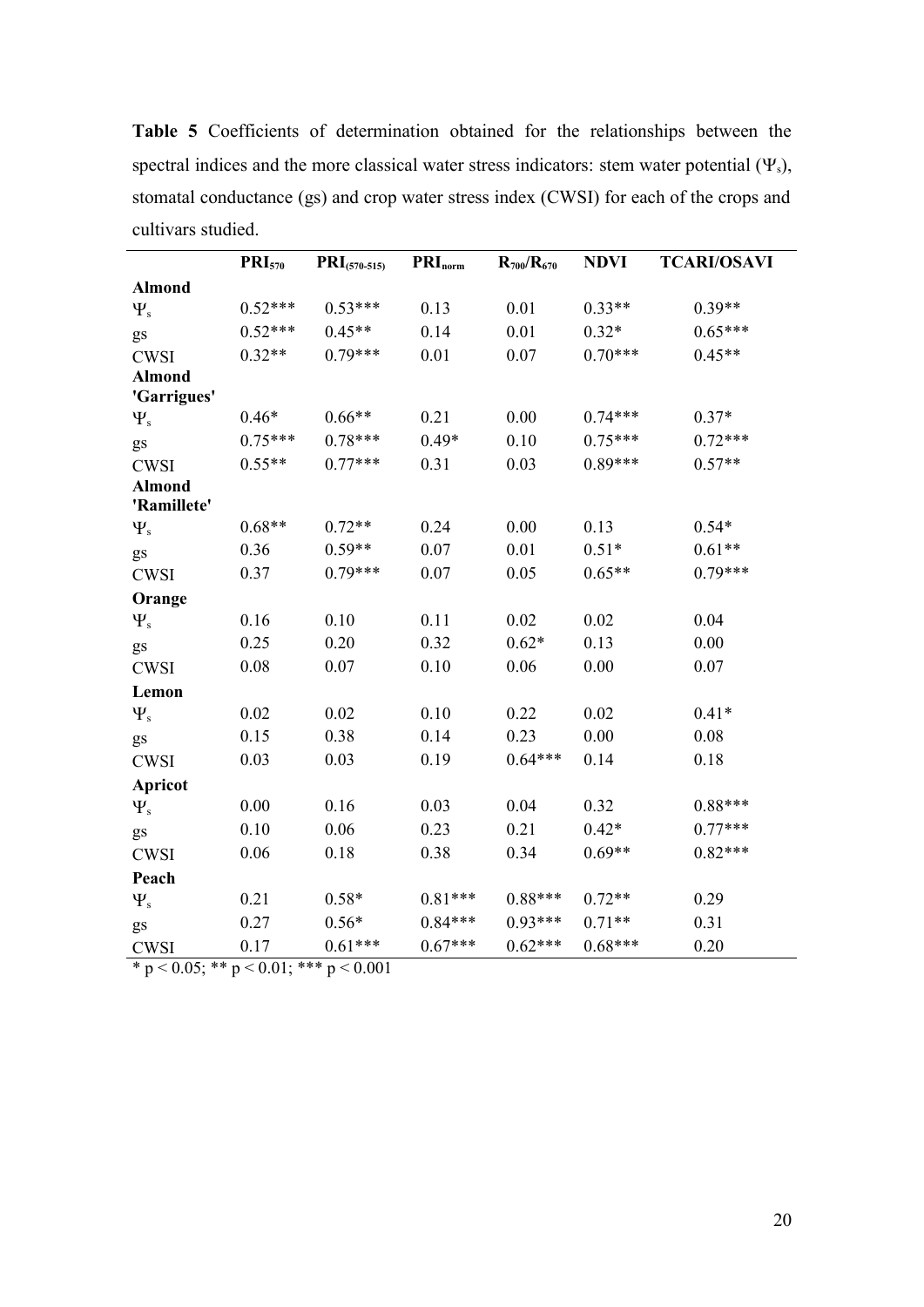|                              | $PRI_{570}$ | $\text{PRI}_{(570-515)}$ | $\mathbf{PRI}_{\text{norm}}$ | $R_{700}/R_{670}$ | <b>NDVI</b> | <b>TCARI/OSAVI</b> |
|------------------------------|-------------|--------------------------|------------------------------|-------------------|-------------|--------------------|
| <b>Almond</b>                |             |                          |                              |                   |             |                    |
| $\Psi_{\rm s}$               | $0.52***$   | $0.53***$                | 0.13                         | 0.01              | $0.33**$    | $0.39**$           |
| gs                           | $0.52***$   | $0.45**$                 | 0.14                         | 0.01              | $0.32*$     | $0.65***$          |
| <b>CWSI</b>                  | $0.32**$    | $0.79***$                | 0.01                         | 0.07              | $0.70***$   | $0.45**$           |
| <b>Almond</b>                |             |                          |                              |                   |             |                    |
| 'Garrigues'                  |             |                          |                              |                   |             |                    |
| $\Psi_{s}$                   | $0.46*$     | $0.66**$                 | 0.21                         | 0.00              | $0.74***$   | $0.37*$            |
| gs                           | $0.75***$   | $0.78***$                | $0.49*$                      | 0.10              | $0.75***$   | $0.72***$          |
| <b>CWSI</b>                  | $0.55**$    | $0.77***$                | 0.31                         | 0.03              | $0.89***$   | $0.57**$           |
| <b>Almond</b><br>'Ramillete' |             |                          |                              |                   |             |                    |
|                              | $0.68**$    | $0.72**$                 | 0.24                         | 0.00              | 0.13        | $0.54*$            |
| $\Psi_{s}$                   | 0.36        | $0.59**$                 | 0.07                         | 0.01              | $0.51*$     | $0.61**$           |
| gs                           |             |                          |                              |                   |             | $0.79***$          |
| <b>CWSI</b>                  | 0.37        | $0.79***$                | 0.07                         | 0.05              | $0.65**$    |                    |
| Orange                       |             |                          |                              |                   |             |                    |
| $\Psi_{s}$                   | 0.16        | 0.10                     | 0.11                         | 0.02              | 0.02        | 0.04               |
| gs                           | 0.25        | 0.20                     | 0.32                         | $0.62*$           | 0.13        | 0.00               |
| <b>CWSI</b>                  | 0.08        | 0.07                     | 0.10                         | 0.06              | 0.00        | 0.07               |
| Lemon                        |             |                          |                              |                   |             |                    |
| $\Psi_{s}$                   | 0.02        | 0.02                     | 0.10                         | 0.22              | 0.02        | $0.41*$            |
| gs                           | 0.15        | 0.38                     | 0.14                         | 0.23              | 0.00        | 0.08               |
| <b>CWSI</b>                  | 0.03        | 0.03                     | 0.19                         | $0.64***$         | 0.14        | 0.18               |
| <b>Apricot</b>               |             |                          |                              |                   |             |                    |
| $\Psi_{s}$                   | 0.00        | 0.16                     | 0.03                         | 0.04              | 0.32        | $0.88***$          |
| gs                           | 0.10        | 0.06                     | 0.23                         | 0.21              | $0.42*$     | $0.77***$          |
| <b>CWSI</b>                  | 0.06        | 0.18                     | 0.38                         | 0.34              | $0.69**$    | $0.82***$          |
| Peach                        |             |                          |                              |                   |             |                    |
| $\Psi_{s}$                   | 0.21        | $0.58*$                  | $0.81***$                    | $0.88***$         | $0.72**$    | 0.29               |
| gs                           | 0.27        | $0.56*$                  | $0.84***$                    | $0.93***$         | $0.71**$    | 0.31               |
| <b>CWSI</b>                  | 0.17        | $0.61***$                | $0.67***$                    | $0.62***$         | $0.68***$   | 0.20               |

**Table 5** Coefficients of determination obtained for the relationships between the spectral indices and the more classical water stress indicators: stem water potential  $(\Psi_s)$ , stomatal conductance (gs) and crop water stress index (CWSI) for each of the crops and cultivars studied.

\* p < 0.05; \*\* p < 0.01; \*\*\* p < 0.001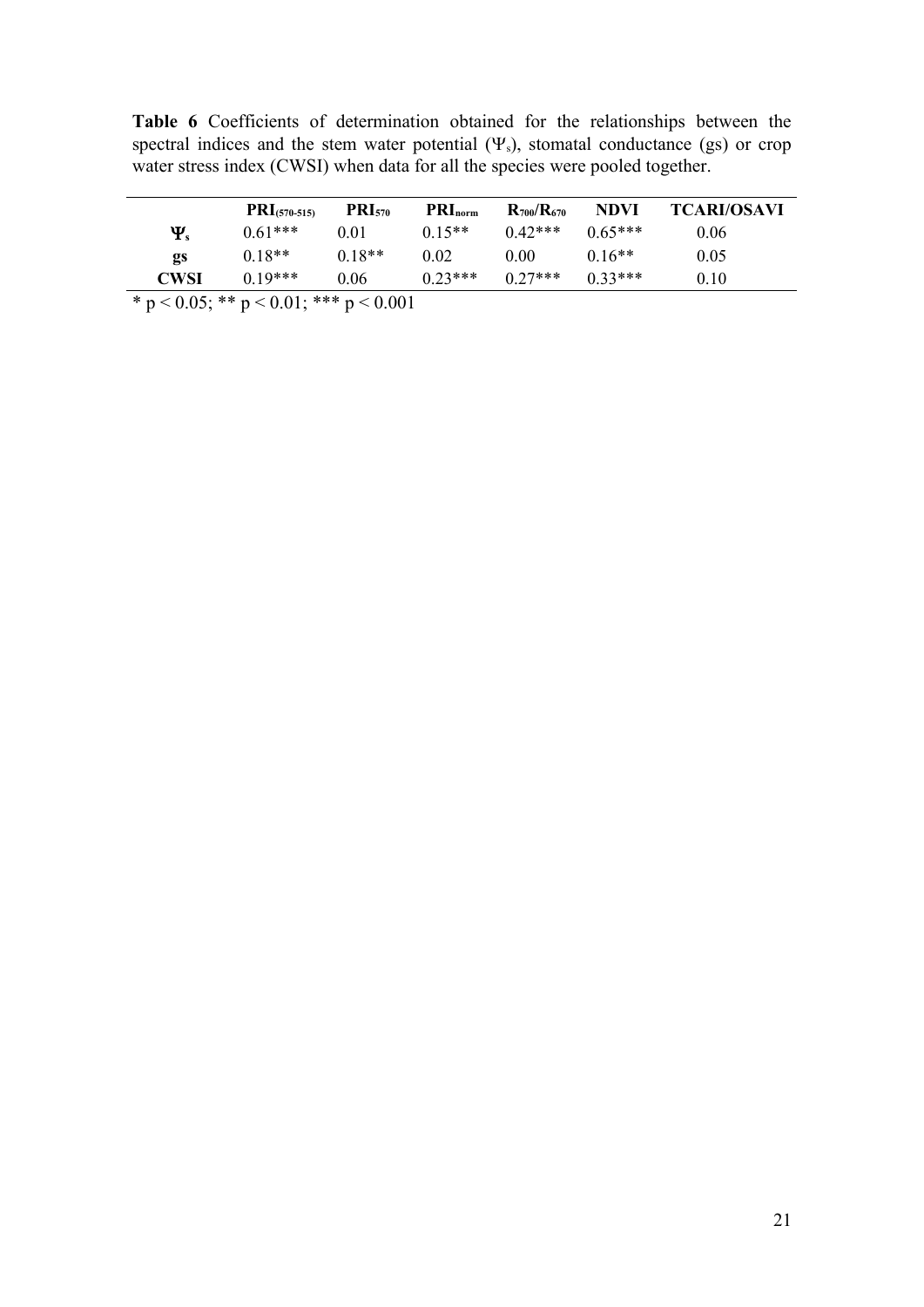|            | $PRI(570-515)$ | <b>PRI</b> <sub>570</sub> | $\text{PRI}_{\text{norm}}$ | $R_{700}/R_{670}$ | <b>NDVI</b> | <b>TCARI/OSAVI</b> |
|------------|----------------|---------------------------|----------------------------|-------------------|-------------|--------------------|
| $\Psi_{s}$ | $0.61***$      | 0.01                      | $0.15**$                   | $0.42***$         | $0.65***$   | 0.06               |
| gs         | $0.18**$       | $0.18**$                  | 0.02                       | 0.00              | $0.16**$    | 0.05               |
| CWSI       | $0.19***$      | 0.06                      | $0.23***$                  | $0.27***$         | $0.33***$   | 0.10               |

**Table 6** Coefficients of determination obtained for the relationships between the spectral indices and the stem water potential  $(\Psi_s)$ , stomatal conductance (gs) or crop water stress index (CWSI) when data for all the species were pooled together.

\* p < 0.05; \*\* p < 0.01; \*\*\* p < 0.001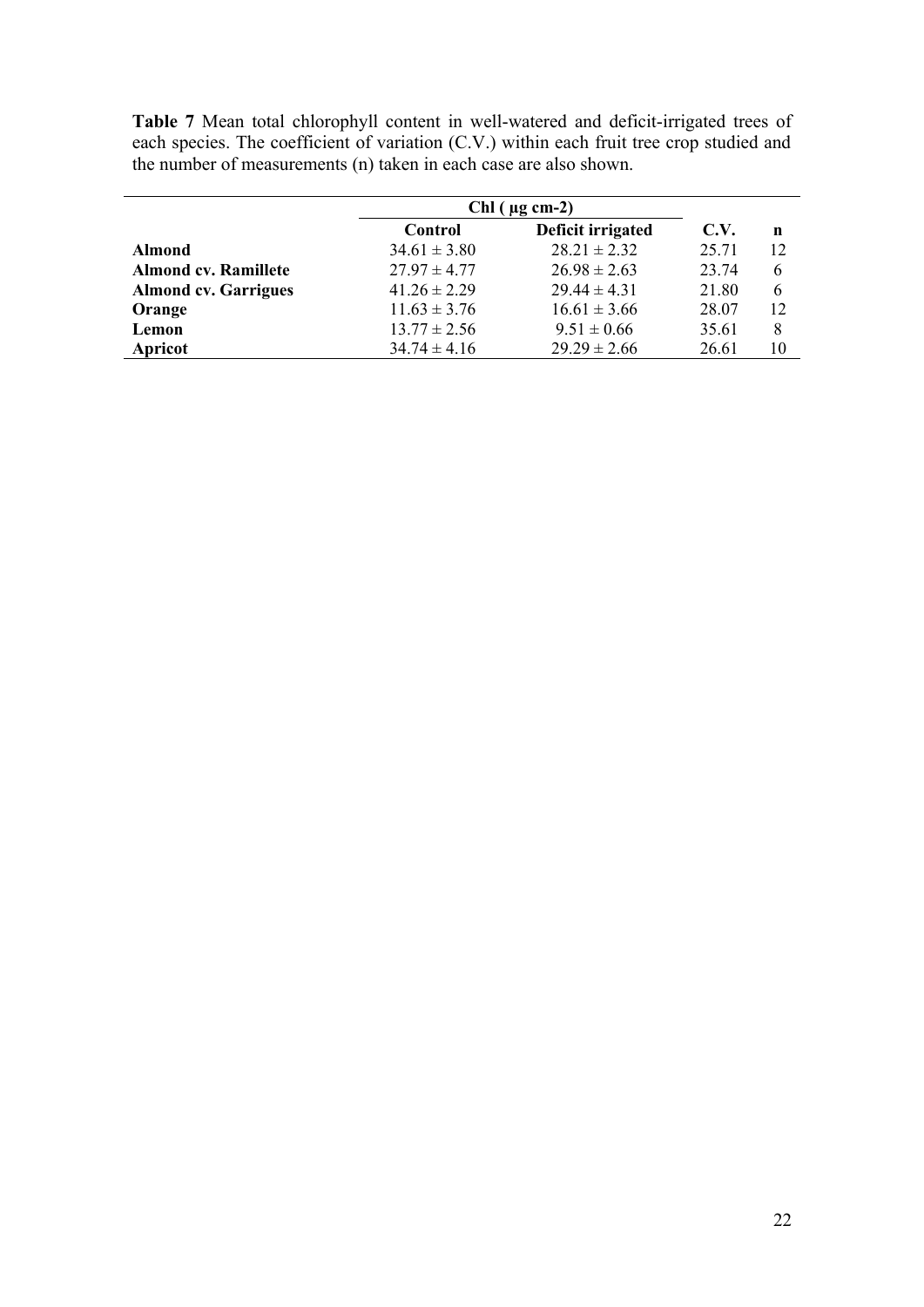**Table 7** Mean total chlorophyll content in well-watered and deficit-irrigated trees of each species. The coefficient of variation (C.V.) within each fruit tree crop studied and the number of measurements (n) taken in each case are also shown.

|                             | $Chl$ ( $\mu$ g cm-2) |                   |       |             |
|-----------------------------|-----------------------|-------------------|-------|-------------|
|                             | Control               | Deficit irrigated | C.V.  | $\mathbf n$ |
| <b>Almond</b>               | $34.61 \pm 3.80$      | $28.21 \pm 2.32$  | 25.71 | 12          |
| <b>Almond cv. Ramillete</b> | $27.97 \pm 4.77$      | $26.98 \pm 2.63$  | 23.74 | 6           |
| <b>Almond cv. Garrigues</b> | $41.26 \pm 2.29$      | $29.44 \pm 4.31$  | 21.80 | 6           |
| Orange                      | $11.63 \pm 3.76$      | $16.61 \pm 3.66$  | 28.07 | 12          |
| Lemon                       | $13.77 \pm 2.56$      | $9.51 \pm 0.66$   | 35.61 | 8           |
| Apricot                     | $34.74 \pm 4.16$      | $29.29 \pm 2.66$  | 26.61 | 10          |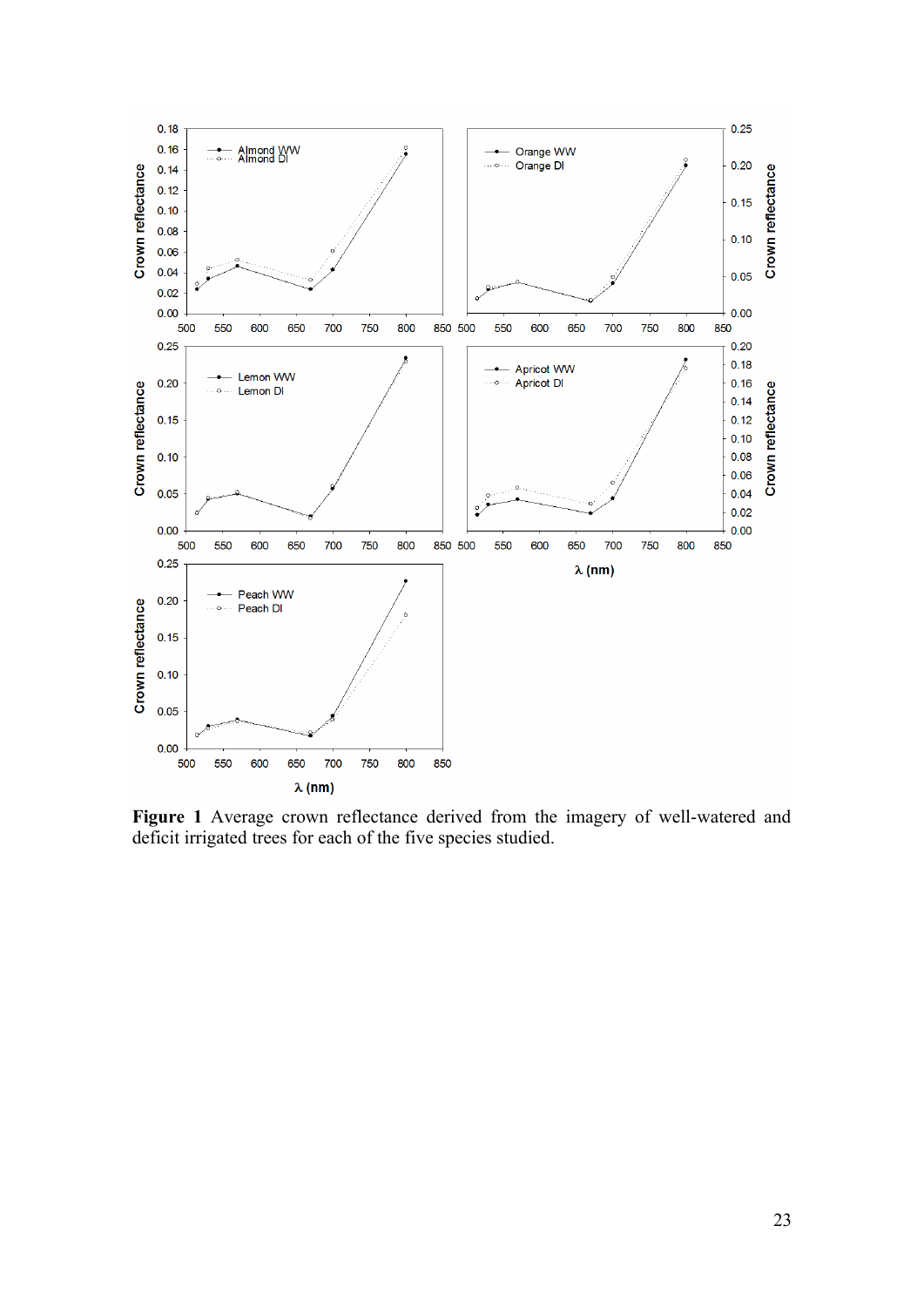

**Figure 1** Average crown reflectance derived from the imagery of well-watered and deficit irrigated trees for each of the five species studied.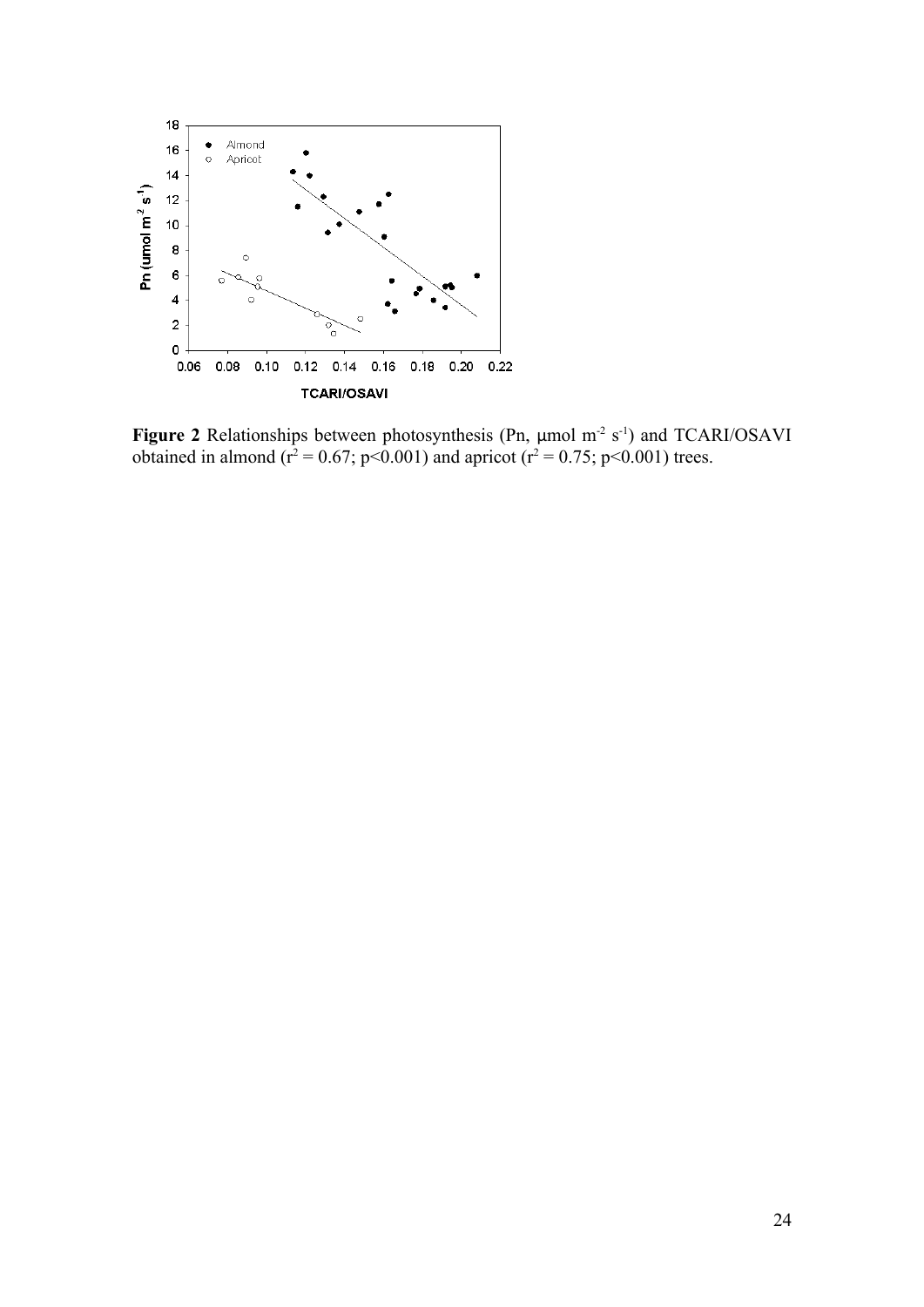

**Figure 2** Relationships between photosynthesis (Pn, μmol m<sup>-2</sup> s<sup>-1</sup>) and TCARI/OSAVI obtained in almond ( $r^2 = 0.67$ ; p<0.001) and apricot ( $r^2 = 0.75$ ; p<0.001) trees.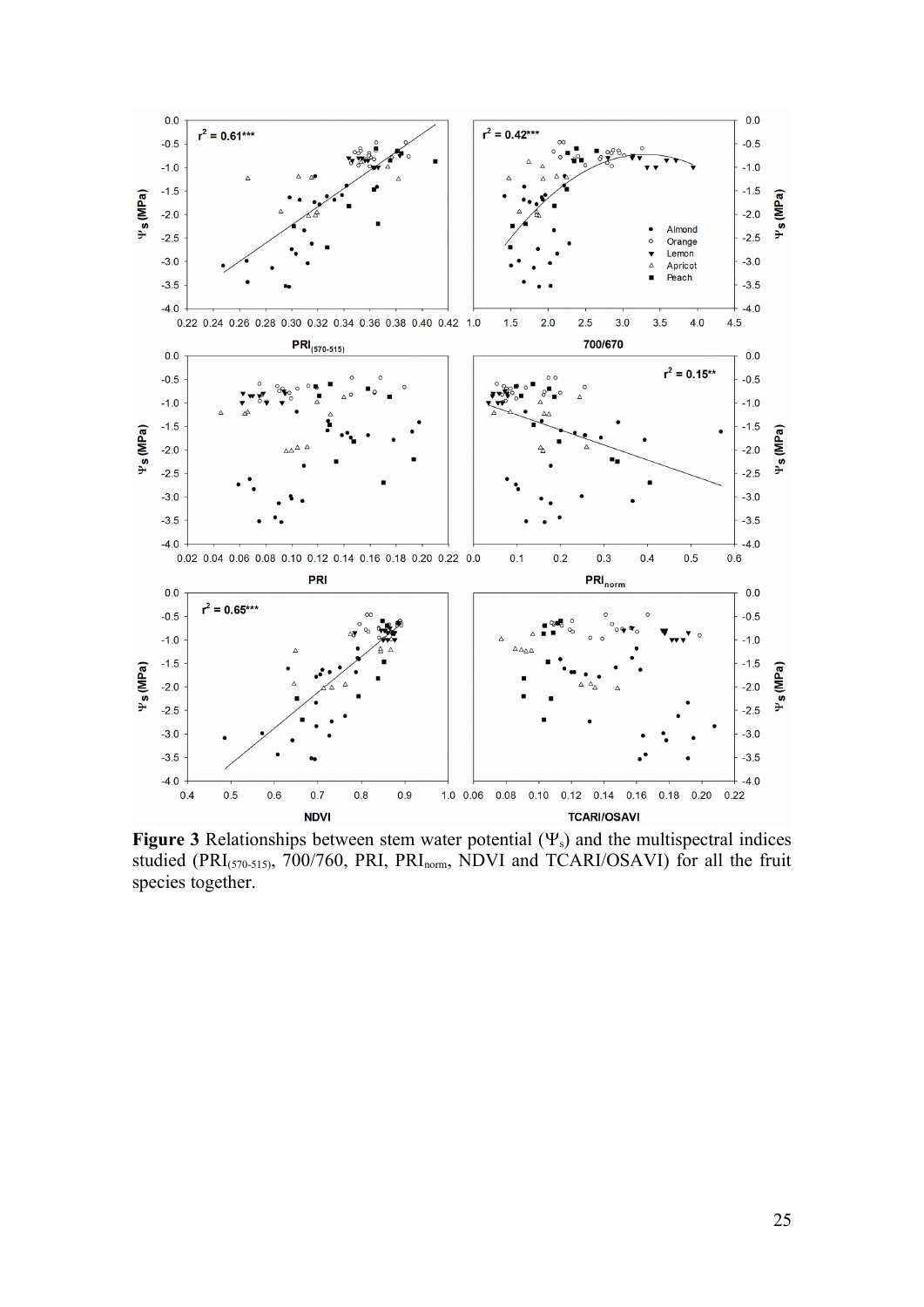

**Figure 3** Relationships between stem water potential  $(\Psi_s)$  and the multispectral indices studied (PRI<sub>(570-515)</sub>, 700/760, PRI, PRI<sub>norm</sub>, NDVI and TCARI/OSAVI) for all the fruit species together.